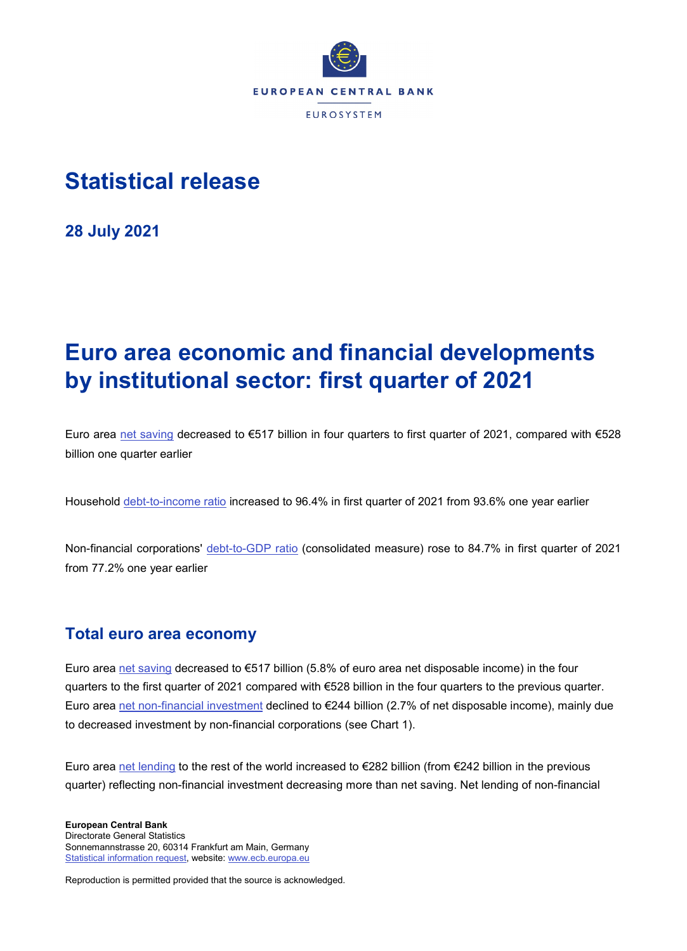

# **Statistical release**

**28 July 2021**

# **Euro area economic and financial developments by institutional sector: first quarter of 2021**

Euro area [net saving](https://sdw.ecb.europa.eu/quickview.do?SERIES_KEY=332.QSA.Q.N.I8.W0.S1.S1._Z.B.B8N._Z._Z._Z.XDC._T.S.V.C4._T) decreased to €517 billion in four quarters to first quarter of 2021, compared with €528 billion one quarter earlier

Household [debt-to-income ratio](https://sdw.ecb.europa.eu/quickview.do?SERIES_KEY=332.QSA.Q.N.I8.W0.S1M.S1.N.L.LE.F4.T._Z.XDC_R_B6GA_CY._T.S.V.N._T) increased to 96.4% in first quarter of 2021 from 93.6% one year earlier

Non-financial corporations' [debt-to-GDP ratio](https://sdw.ecb.europa.eu/quickview.do?SERIES_KEY=332.QSA.Q.N.I8.W0.S11.S1.C.L.LE.F3T4.T._Z.XDC_R_B1GQ_CY._T.S.V.N._T) (consolidated measure) rose to 84.7% in first quarter of 2021 from 77.2% one year earlier

# **Total euro area economy**

Euro area [net saving](https://sdw.ecb.europa.eu/quickview.do?SERIES_KEY=332.QSA.Q.N.I8.W0.S1.S1._Z.B.B8N._Z._Z._Z.XDC._T.S.V.C4._T) decreased to €517 billion (5.8% of euro area net disposable income) in the four quarters to the first quarter of 2021 compared with €528 billion in the four quarters to the previous quarter. Euro area [net non-financial investment](https://sdw.ecb.europa.eu/quickview.do?SERIES_KEY=332.QSA.Q.N.I8.W0.S1.S1.N.D.P5LN._Z._Z._Z.XDC._T.S.V.C4._T) declined to €244 billion (2.7% of net disposable income), mainly due to decreased investment by non-financial corporations (see Chart 1).

Euro area [net lending](http://sdw.ecb.europa.eu/quickview.do?SERIES_KEY=332.QSA.Q.N.I8.W0.S1.S1._Z.B.B9._Z._Z._Z.XDC._T.S.V.N._T) to the rest of the world increased to  $\epsilon$ 282 billion (from  $\epsilon$ 242 billion in the previous quarter) reflecting non-financial investment decreasing more than net saving. Net lending of non-financial

**European Central Bank** Directorate General Statistics Sonnemannstrasse 20, 60314 Frankfurt am Main, Germany [Statistical information request,](https://ecb-registration.escb.eu/statistical-information) website[: www.ecb.europa.eu](http://www.ecb.europa.eu/)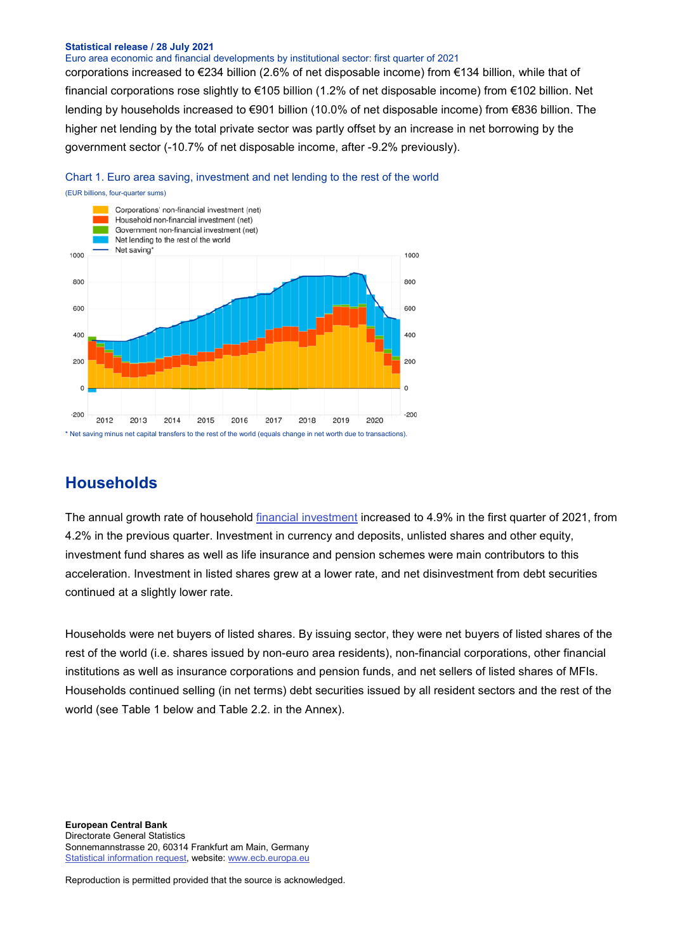Euro area economic and financial developments by institutional sector: first quarter of 2021

corporations increased to €234 billion (2.6% of net disposable income) from €134 billion, while that of financial corporations rose slightly to €105 billion (1.2% of net disposable income) from €102 billion. Net lending by households increased to €901 billion (10.0% of net disposable income) from €836 billion. The higher net lending by the total private sector was partly offset by an increase in net borrowing by the government sector (-10.7% of net disposable income, after -9.2% previously).





### **Households**

The annual growth rate of household [financial investment](http://sdw.ecb.europa.eu/browseTable.do?dc=&type=series&cv=&ec=&rc=&node=SEARCHRESULTS&oc=&df=&q=QSA.Q.N.I8.W0.S1M.S1.N.A.F.F._Z._Z.XDC._T.S.V.N._T%20QSA.Q.N.I8.W0.S1M.S1.N.A.LE.F._Z._Z.XDC._T.S.V.N._T&pb=&SERIES_KEY=332.QSA.Q.N.I8.W0.S1M.S1.N.A.F.F._Z._Z.XDC._T.S.V.N._T&SERIES_KEY=332.QSA.Q.N.I8.W0.S1M.S1.N.A.LE.F._Z._Z.XDC._T.S.V.N._T) increased to 4.9% in the first quarter of 2021, from 4.2% in the previous quarter. Investment in currency and deposits, unlisted shares and other equity, investment fund shares as well as life insurance and pension schemes were main contributors to this acceleration. Investment in listed shares grew at a lower rate, and net disinvestment from debt securities continued at a slightly lower rate.

Households were net buyers of listed shares. By issuing sector, they were net buyers of listed shares of the rest of the world (i.e. shares issued by non-euro area residents), non-financial corporations, other financial institutions as well as insurance corporations and pension funds, and net sellers of listed shares of MFIs. Households continued selling (in net terms) debt securities issued by all resident sectors and the rest of the world (see Table 1 below and Table 2.2. in the Annex).

**European Central Bank** Directorate General Statistics Sonnemannstrasse 20, 60314 Frankfurt am Main, Germany [Statistical information request,](https://ecb-registration.escb.eu/statistical-information) website[: www.ecb.europa.eu](http://www.ecb.europa.eu/)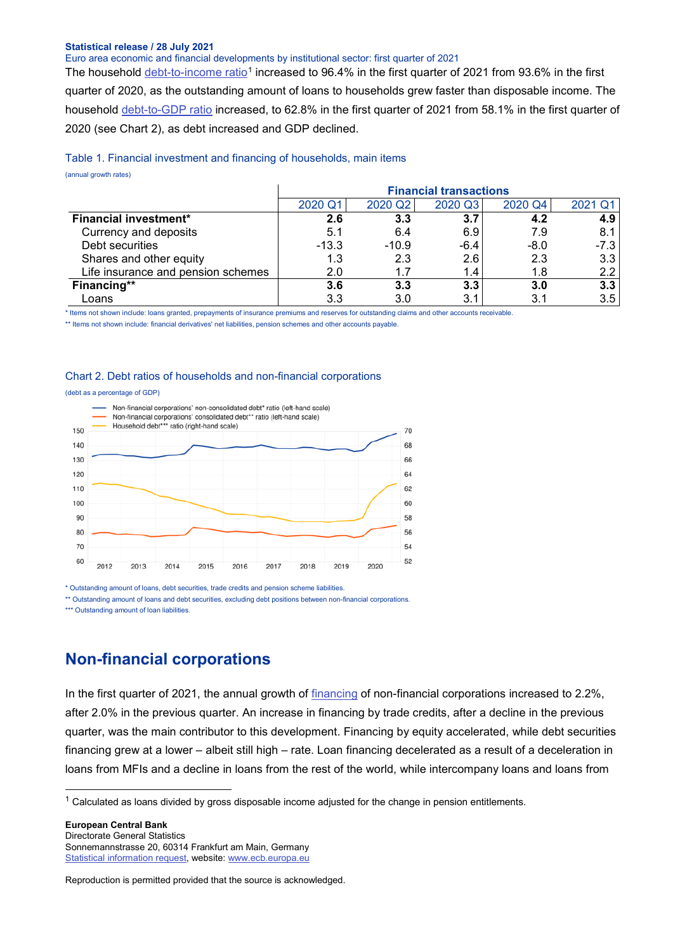Euro area economic and financial developments by institutional sector: first quarter of 2021

The household [debt-to-income ratio](https://sdw.ecb.europa.eu/quickview.do?SERIES_KEY=332.QSA.Q.N.I8.W0.S1M.S1.N.L.LE.F4.T._Z.XDC_R_B6GA_CY._T.S.V.N._T)<sup>[1](#page-2-0)</sup> increased to 96.4% in the first quarter of 2021 from 93.6% in the first quarter of 2020, as the outstanding amount of loans to households grew faster than disposable income. The household [debt-to-GDP ratio](https://sdw.ecb.europa.eu/quickview.do?SERIES_KEY=332.QSA.Q.N.I8.W0.S1M.S1.N.L.LE.F4.T._Z.XDC_R_B1GQ_CY._T.S.V.N._T) increased, to 62.8% in the first quarter of 2021 from 58.1% in the first quarter of 2020 (see Chart 2), as debt increased and GDP declined.

#### Table 1. Financial investment and financing of households, main items

(annual growth rates)

|                                    |         |         | <b>Financial transactions</b> |         |                  |
|------------------------------------|---------|---------|-------------------------------|---------|------------------|
|                                    | 2020 Q1 | 2020 Q2 | 2020 Q3                       | 2020 Q4 | 2021 Q1          |
| Financial investment*              | 2.6     | 3.3     | 3.7                           | 4.2     | 4.9              |
| Currency and deposits              | 5.1     | 6.4     | 6.9                           | 7.9     | 8.1              |
| Debt securities                    | $-13.3$ | $-10.9$ | $-6.4$                        | $-8.0$  | -7.3             |
| Shares and other equity            | 1.3     | 2.3     | 2.6                           | 2.3     | 3.3              |
| Life insurance and pension schemes | 2.0     |         | 1.4                           | 1.8     | $2.2^{\circ}$    |
| Financing**                        | 3.6     | 3.3     | 3.3                           | 3.0     | 3.3 <sub>2</sub> |
| Loans                              | 3.3     | 3.0     | 3.1                           | 3.1     | 3.5              |

\* Items not shown include: loans granted, prepayments of insurance premiums and reserves for outstanding claims and other accounts receivable.

\*\* Items not shown include: financial derivatives' net liabilities, pension schemes and other accounts payable.

#### Chart 2. Debt ratios of households and non-financial corporations

#### (debt as a percentage of GDP)



\* Outstanding amount of loans, debt securities, trade credits and pension scheme liabilities.

\*\* Outstanding amount of loans and debt securities, excluding debt positions between non-financial corporations

\*\*\* Outstanding amount of loan liabilities.

### **Non-financial corporations**

In the first quarter of 2021, the annual growth of [financing](http://sdw.ecb.europa.eu/quickview.do?SERIES_KEY=332.QSA.Q.N.I8.W0.S11.S1.N.L.F.F._Z._Z.XDC._T.S.V.N._T) of non-financial corporations increased to 2.2%, after 2.0% in the previous quarter. An increase in financing by trade credits, after a decline in the previous quarter, was the main contributor to this development. Financing by equity accelerated, while debt securities financing grew at a lower – albeit still high – rate. Loan financing decelerated as a result of a deceleration in loans from MFIs and a decline in loans from the rest of the world, while intercompany loans and loans from

**European Central Bank** Directorate General Statistics Sonnemannstrasse 20, 60314 Frankfurt am Main, Germany [Statistical information request,](https://ecb-registration.escb.eu/statistical-information) website[: www.ecb.europa.eu](http://www.ecb.europa.eu/)

<span id="page-2-0"></span> $1$  Calculated as loans divided by gross disposable income adjusted for the change in pension entitlements.

Reproduction is permitted provided that the source is acknowledged.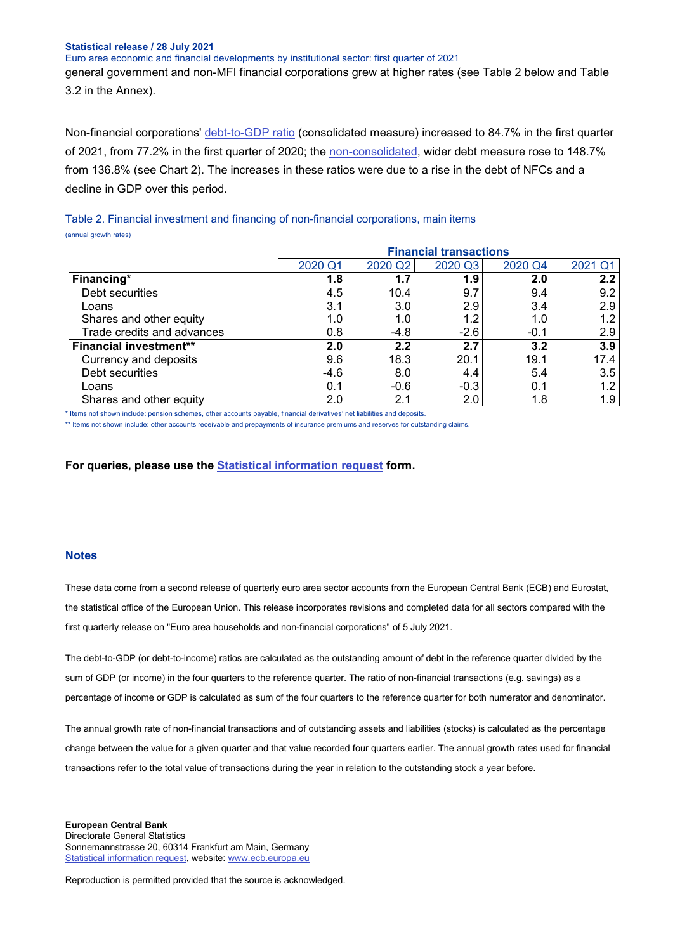Euro area economic and financial developments by institutional sector: first quarter of 2021

general government and non-MFI financial corporations grew at higher rates (see Table 2 below and Table 3.2 in the Annex).

Non-financial corporations' [debt-to-GDP ratio](https://sdw.ecb.europa.eu/quickview.do?SERIES_KEY=332.QSA.Q.N.I8.W0.S11.S1.C.L.LE.F3T4.T._Z.XDC_R_B1GQ_CY._T.S.V.N._T) (consolidated measure) increased to 84.7% in the first quarter of 2021, from 77.2% in the first quarter of 2020; the [non-consolidated,](https://sdw.ecb.europa.eu/quickview.do?SERIES_KEY=332.QSA.Q.N.I8.W0.S11.S1.N.L.LE.FPT.T._Z.XDC_R_B1GQ_CY._T.S.V.N._T) wider debt measure rose to 148.7% from 136.8% (see Chart 2). The increases in these ratios were due to a rise in the debt of NFCs and a decline in GDP over this period.

Table 2. Financial investment and financing of non-financial corporations, main items (annual growth rates)

|                               |         |         | <b>Financial transactions</b> |         |         |
|-------------------------------|---------|---------|-------------------------------|---------|---------|
|                               | 2020 Q1 | 2020 Q2 | 2020 Q3                       | 2020 Q4 | 2021 Q1 |
| Financing*                    | 1.8     | 1.7     | 1.9                           | 2.0     | 2.2     |
| Debt securities               | 4.5     | 10.4    | 9.7                           | 9.4     | 9.2     |
| Loans                         | 3.1     | 3.0     | 2.9                           | 3.4     | 2.9     |
| Shares and other equity       | 1.0     | 1.0     | 1.2                           | 1.0     | 1.2     |
| Trade credits and advances    | 0.8     | $-4.8$  | $-2.6$                        | $-0.1$  | 2.9     |
| <b>Financial investment**</b> | 2.0     | 2.2     | 2.7                           | 3.2     | 3.9     |
| Currency and deposits         | 9.6     | 18.3    | 20.1                          | 19.1    | 17.4    |
| Debt securities               | $-4.6$  | 8.0     | 4.4                           | 5.4     | 3.5     |
| Loans                         | 0.1     | $-0.6$  | $-0.3$                        | 0.1     | 1.2     |
| Shares and other equity       | 2.0     | 2.1     | 2.0                           | 1.8     | 1.9     |

\* Items not shown include: pension schemes, other accounts payable, financial derivatives' net liabilities and deposits.

\*\* Items not shown include: other accounts receivable and prepayments of insurance premiums and reserves for outstanding claims.

**For queries, please use the [Statistical information request](https://ecb-registration.escb.eu/statistical-information) form.**

#### **Notes**

These data come from a second release of quarterly euro area sector accounts from the European Central Bank (ECB) and Eurostat, the statistical office of the European Union. This release incorporates revisions and completed data for all sectors compared with the first quarterly release on "Euro area households and non-financial corporations" of 5 July 2021.

The debt-to-GDP (or debt-to-income) ratios are calculated as the outstanding amount of debt in the reference quarter divided by the sum of GDP (or income) in the four quarters to the reference quarter. The ratio of non-financial transactions (e.g. savings) as a percentage of income or GDP is calculated as sum of the four quarters to the reference quarter for both numerator and denominator.

The annual growth rate of non-financial transactions and of outstanding assets and liabilities (stocks) is calculated as the percentage change between the value for a given quarter and that value recorded four quarters earlier. The annual growth rates used for financial transactions refer to the total value of transactions during the year in relation to the outstanding stock a year before.

**European Central Bank** Directorate General Statistics Sonnemannstrasse 20, 60314 Frankfurt am Main, Germany [Statistical information request,](https://ecb-registration.escb.eu/statistical-information) website[: www.ecb.europa.eu](http://www.ecb.europa.eu/)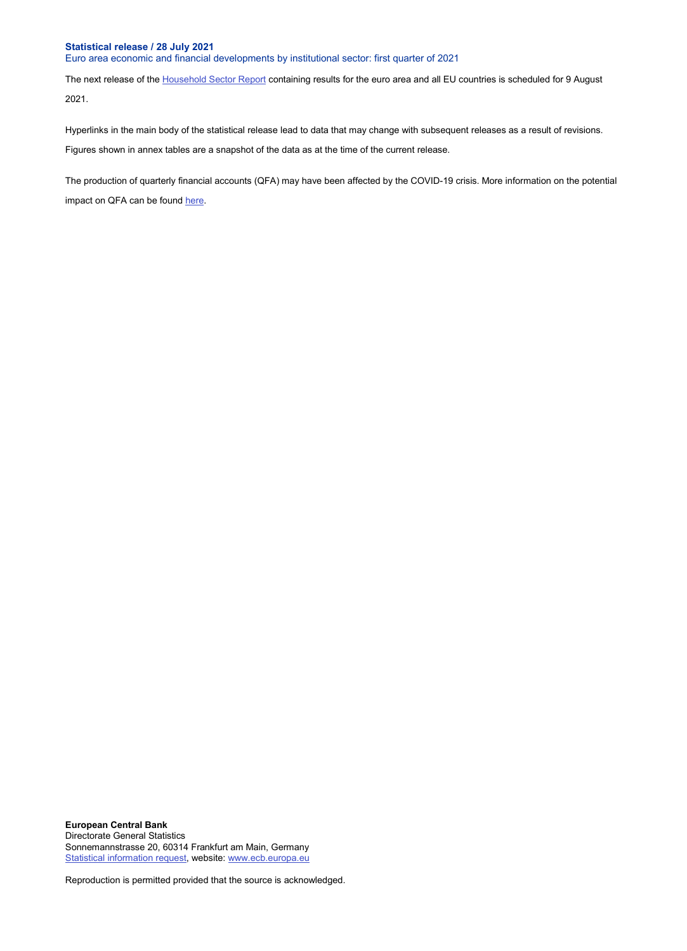Euro area economic and financial developments by institutional sector: first quarter of 2021

The next release of the **Household Sector Report** containing results for the euro area and all EU countries is scheduled for 9 August 2021.

Hyperlinks in the main body of the statistical release lead to data that may change with subsequent releases as a result of revisions. Figures shown in annex tables are a snapshot of the data as at the time of the current release.

The production of quarterly financial accounts (QFA) may have been affected by the COVID-19 crisis. More information on the potential impact on QFA can be found [here.](https://www.ecb.europa.eu/stats/pdf/Impact_of_the_COVID-19_pandemic_on_the_Quarterly_Financial_Accounts_statistics.pdf)

**European Central Bank** Directorate General Statistics Sonnemannstrasse 20, 60314 Frankfurt am Main, Germany [Statistical information request,](https://ecb-registration.escb.eu/statistical-information) website[: www.ecb.europa.eu](http://www.ecb.europa.eu/)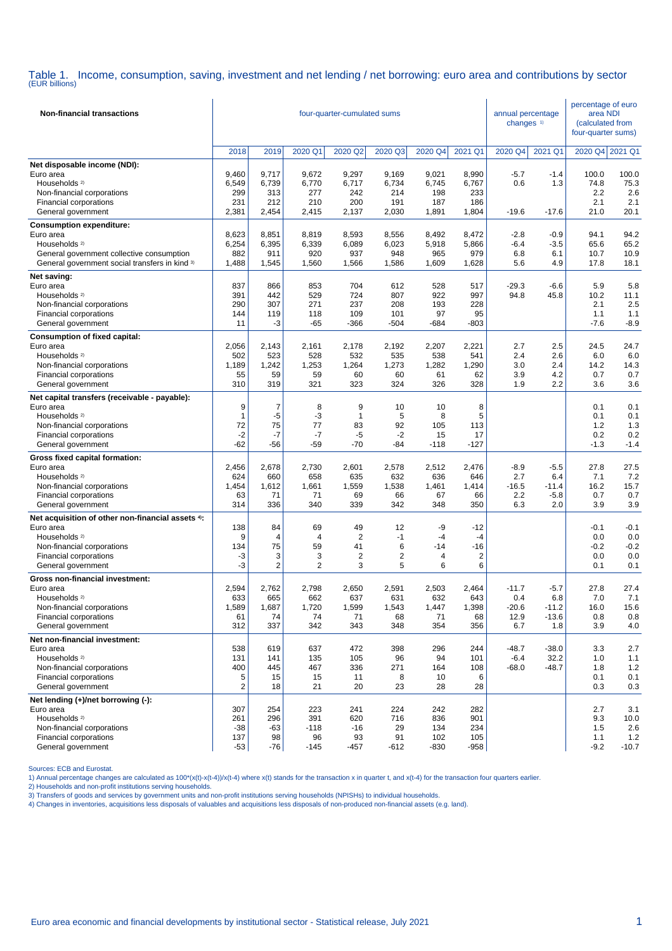Table 1. Income, consumption, saving, investment and net lending / net borrowing: euro area and contributions by sector (EUR billions)

| <b>Non-financial transactions</b>                                                                                                                                                                                                                   | four-quarter-cumulated sums                    |                                               |                                                            |                                                            |                                                  |                                                |                                                     | annual percentage<br>changes <sup>1)</sup> |                                            | percentage of euro<br>area NDI<br>(calculated from<br>four-quarter sums) |                                                    |
|-----------------------------------------------------------------------------------------------------------------------------------------------------------------------------------------------------------------------------------------------------|------------------------------------------------|-----------------------------------------------|------------------------------------------------------------|------------------------------------------------------------|--------------------------------------------------|------------------------------------------------|-----------------------------------------------------|--------------------------------------------|--------------------------------------------|--------------------------------------------------------------------------|----------------------------------------------------|
|                                                                                                                                                                                                                                                     | 2018                                           | 2019                                          | 2020 Q1                                                    | 2020 Q2                                                    | 2020 Q3                                          | 2020 Q4                                        | 2021 Q1                                             | 2020 Q4                                    | 2021 Q1                                    | 2020 Q4 2021 Q1                                                          |                                                    |
| Net disposable income (NDI):<br>Euro area<br>Households <sup>2)</sup><br>Non-financial corporations<br>Financial corporations<br>General government                                                                                                 | 9,460<br>6,549<br>299<br>231<br>2,381          | 9,717<br>6,739<br>313<br>212<br>2,454         | 9,672<br>6,770<br>277<br>210<br>2,415                      | 9,297<br>6,717<br>242<br>200<br>2,137                      | 9,169<br>6,734<br>214<br>191<br>2,030            | 9,021<br>6,745<br>198<br>187<br>1,891          | 8,990<br>6,767<br>233<br>186<br>1,804               | $-5.7$<br>0.6<br>$-19.6$                   | $-1.4$<br>1.3<br>$-17.6$                   | 100.0<br>74.8<br>2.2<br>2.1<br>21.0                                      | 100.0<br>75.3<br>2.6<br>2.1<br>20.1                |
| <b>Consumption expenditure:</b><br>Euro area<br>Households <sup>2)</sup><br>General government collective consumption<br>General government social transfers in kind 3)                                                                             | 8,623<br>6,254<br>882<br>1,488                 | 8,851<br>6,395<br>911<br>1,545                | 8,819<br>6,339<br>920<br>1,560                             | 8,593<br>6,089<br>937<br>1,566                             | 8,556<br>6,023<br>948<br>1,586                   | 8,492<br>5,918<br>965<br>1,609                 | 8,472<br>5,866<br>979<br>1,628                      | $-2.8$<br>$-6.4$<br>6.8<br>5.6             | $-0.9$<br>$-3.5$<br>6.1<br>4.9             | 94.1<br>65.6<br>10.7<br>17.8                                             | 94.2<br>65.2<br>10.9<br>18.1                       |
| Net saving:<br>Euro area<br>Households <sup>2)</sup><br>Non-financial corporations<br>Financial corporations<br>General government                                                                                                                  | 837<br>391<br>290<br>144<br>11                 | 866<br>442<br>307<br>119<br>-3                | 853<br>529<br>271<br>118<br>$-65$                          | 704<br>724<br>237<br>109<br>$-366$                         | 612<br>807<br>208<br>101<br>$-504$               | 528<br>922<br>193<br>97<br>-684                | 517<br>997<br>228<br>95<br>$-803$                   | $-29.3$<br>94.8                            | $-6.6$<br>45.8                             | 5.9<br>10.2<br>2.1<br>1.1<br>$-7.6$                                      | 5.8<br>11.1<br>2.5<br>1.1<br>$-8.9$                |
| <b>Consumption of fixed capital:</b><br>Euro area<br>Households <sup>2)</sup><br>Non-financial corporations<br>Financial corporations<br>General government                                                                                         | 2,056<br>502<br>1,189<br>55<br>310             | 2,143<br>523<br>1,242<br>59<br>319            | 2,161<br>528<br>1,253<br>59<br>321                         | 2,178<br>532<br>1,264<br>60<br>323                         | 2,192<br>535<br>1,273<br>60<br>324               | 2,207<br>538<br>1,282<br>61<br>326             | 2,221<br>541<br>1,290<br>62<br>328                  | 2.7<br>2.4<br>3.0<br>3.9<br>1.9            | 2.5<br>2.6<br>2.4<br>4.2<br>2.2            | 24.5<br>6.0<br>14.2<br>0.7<br>3.6                                        | 24.7<br>6.0<br>14.3<br>0.7<br>3.6                  |
| Net capital transfers (receivable - payable):<br>Euro area<br>Households <sup>2)</sup><br>Non-financial corporations<br>Financial corporations<br>General government                                                                                | 9<br>1<br>72<br>$-2$<br>$-62$                  | $\overline{7}$<br>-5<br>75<br>-7<br>$-56$     | 8<br>-3<br>77<br>-7<br>$-59$                               | 9<br>1<br>83<br>-5<br>$-70$                                | 10<br>5<br>92<br>$-2$<br>-84                     | 10<br>8<br>105<br>15<br>$-118$                 | 8<br>5<br>113<br>17<br>$-127$                       |                                            |                                            | 0.1<br>0.1<br>1.2<br>0.2<br>$-1.3$                                       | 0.1<br>0.1<br>1.3<br>0.2<br>$-1.4$                 |
| Gross fixed capital formation:<br>Euro area<br>Households <sup>2)</sup><br>Non-financial corporations<br>Financial corporations<br>General government<br>Net acquisition of other non-financial assets 4):<br>Euro area<br>Households <sup>2)</sup> | 2,456<br>624<br>1,454<br>63<br>314<br>138<br>9 | 2,678<br>660<br>1,612<br>71<br>336<br>84<br>4 | 2,730<br>658<br>1,661<br>71<br>340<br>69<br>$\overline{4}$ | 2,601<br>635<br>1,559<br>69<br>339<br>49<br>$\overline{2}$ | 2,578<br>632<br>1,538<br>66<br>342<br>12<br>$-1$ | 2,512<br>636<br>1,461<br>67<br>348<br>-9<br>-4 | 2,476<br>646<br>1,414<br>66<br>350<br>$-12$<br>$-4$ | $-8.9$<br>2.7<br>$-16.5$<br>2.2<br>6.3     | $-5.5$<br>6.4<br>$-11.4$<br>$-5.8$<br>2.0  | 27.8<br>7.1<br>16.2<br>0.7<br>3.9<br>$-0.1$<br>0.0                       | 27.5<br>7.2<br>15.7<br>0.7<br>3.9<br>$-0.1$<br>0.0 |
| Non-financial corporations<br>Financial corporations<br>General government                                                                                                                                                                          | 134<br>-3<br>-3                                | 75<br>3<br>$\overline{2}$                     | 59<br>3<br>$\overline{2}$                                  | 41<br>$\overline{c}$<br>3                                  | 6<br>$\overline{\mathbf{c}}$<br>5                | $-14$<br>4<br>6                                | $-16$<br>$\overline{2}$<br>6                        |                                            |                                            | $-0.2$<br>0.0<br>0.1                                                     | $-0.2$<br>0.0<br>0.1                               |
| Gross non-financial investment:<br>Euro area<br>Households <sup>2)</sup><br>Non-financial corporations<br>Financial corporations<br>General government                                                                                              | 2,594<br>633<br>1,589<br>61<br>312             | 2,762<br>665<br>1,687<br>74<br>337            | 2,798<br>662<br>1,720<br>74<br>342                         | 2,650<br>637<br>1,599<br>71<br>343                         | 2,591<br>631<br>1,543<br>68<br>348               | 2,503<br>632<br>1,447<br>71<br>354             | 2,464<br>643<br>1,398<br>68<br>356                  | $-11.7$<br>0.4<br>$-20.6$<br>12.9<br>6.7   | $-5.7$<br>6.8<br>$-11.2$<br>$-13.6$<br>1.8 | 27.8<br>7.0<br>16.0<br>0.8<br>3.9                                        | 27.4<br>7.1<br>15.6<br>0.8<br>4.0                  |
| Net non-financial investment:<br>Euro area<br>Households <sup>2)</sup><br>Non-financial corporations<br>Financial corporations<br>General government                                                                                                | 538<br>131<br>400<br>5<br>$\overline{2}$       | 619<br>141<br>445<br>15<br>18                 | 637<br>135<br>467<br>15<br>21                              | 472<br>105<br>336<br>11<br>20                              | 398<br>96<br>271<br>8<br>23                      | 296<br>94<br>164<br>10<br>28                   | 244<br>101<br>108<br>6<br>28                        | $-48.7$<br>$-6.4$<br>$-68.0$               | $-38.0$<br>32.2<br>$-48.7$                 | 3.3<br>1.0<br>1.8<br>0.1<br>0.3                                          | 2.7<br>1.1<br>1.2<br>0.1<br>0.3                    |
| Net lending (+)/net borrowing (-):<br>Euro area<br>Households <sup>2)</sup><br>Non-financial corporations<br>Financial corporations<br>General government                                                                                           | 307<br>261<br>$-38$<br>137<br>$-53$            | 254<br>296<br>$-63$<br>98<br>-76              | 223<br>391<br>$-118$<br>96<br>$-145$                       | 241<br>620<br>$-16$<br>93<br>$-457$                        | 224<br>716<br>29<br>91<br>$-612$                 | 242<br>836<br>134<br>102<br>$-830$             | 282<br>901<br>234<br>105<br>$-958$                  |                                            |                                            | 2.7<br>9.3<br>1.5<br>1.1<br>$-9.2$                                       | 3.1<br>10.0<br>2.6<br>$1.2$<br>$-10.7$             |

Sources: ECB and Eurostat.

1) Annual percentage changes are calculated as  $100^*(x(t)-x(t-4))/x(t-4)$  where  $x(t)$  stands for the transaction x in quarter t, and  $x(t-4)$  for the transaction four quarters earlier.

2) Households and non-profit institutions serving households.

3) Transfers of goods and services by government units and non-profit institutions serving households (NPISHs) to individual households.

4) Changes in inventories, acquisitions less disposals of valuables and acquisitions less disposals of non-produced non-financial assets (e.g. land).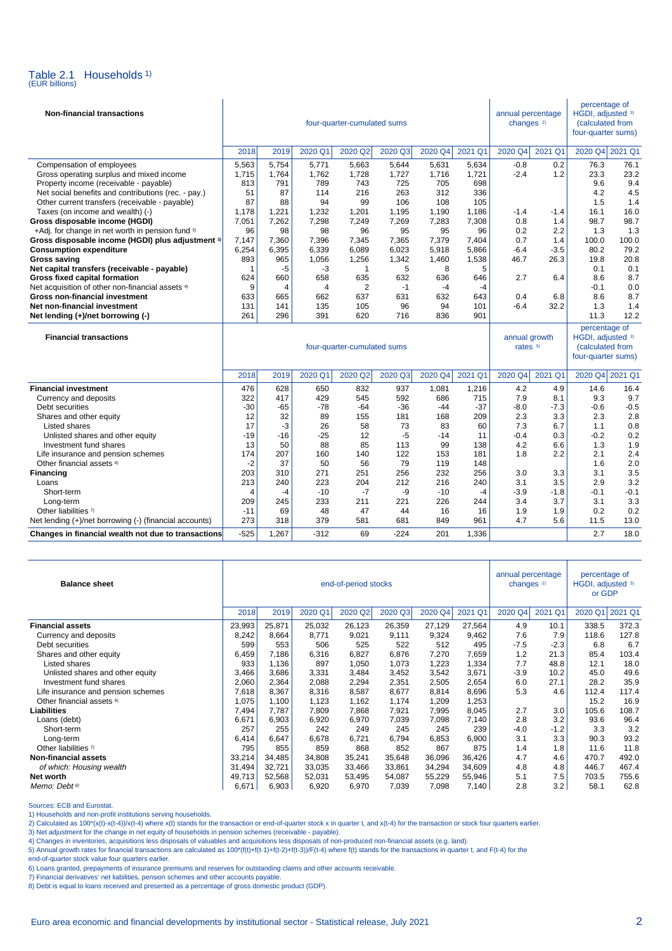

| <b>Non-financial transactions</b>                      |       |                |                | four-quarter-cumulated sums |         | annual percentage<br>changes <sup>2)</sup> |         | percentage of<br>HGDI, adjusted 3)<br>(calculated from<br>four-quarter sums) |         |                                                                              |             |
|--------------------------------------------------------|-------|----------------|----------------|-----------------------------|---------|--------------------------------------------|---------|------------------------------------------------------------------------------|---------|------------------------------------------------------------------------------|-------------|
|                                                        | 2018  | 2019           | 2020 Q1        | 2020 Q2                     | 2020 Q3 | 2020 Q4                                    | 2021 Q1 | 2020 Q4                                                                      | 2021 Q1 | 2020 Q4 2021 Q1                                                              |             |
| Compensation of employees                              | 5,563 | 5,754          | 5,771          | 5,663                       | 5,644   | 5,631                                      | 5,634   | $-0.8$                                                                       | 0.2     | 76.3                                                                         | 76.1        |
| Gross operating surplus and mixed income               | 1,715 | 1,764          | 1,762          | 1,728                       | 1,727   | 1,716                                      | 1,721   | $-2.4$                                                                       | 1.2     | 23.3                                                                         | 23.2        |
| Property income (receivable - payable)                 | 813   | 791            | 789            | 743                         | 725     | 705                                        | 698     |                                                                              |         | 9.6                                                                          | 9.4         |
| Net social benefits and contributions (rec. - pay.)    | 51    | 87             | 114            | 216                         | 263     | 312                                        | 336     |                                                                              |         | 4.2                                                                          | 4.5         |
| Other current transfers (receivable - payable)         | 87    | 88             | 94             | 99                          | 106     | 108                                        | 105     |                                                                              |         | 1.5                                                                          | 1.4         |
| Taxes (on income and wealth) (-)                       | 1,178 | 1,221          | 1,232          | 1,201                       | 1,195   | 1,190                                      | 1,186   | $-1.4$                                                                       | $-1.4$  | 16.1                                                                         | 16.0        |
| Gross disposable income (HGDI)                         | 7,051 | 7,262          | 7,298          | 7,249                       | 7,269   | 7,283                                      | 7,308   | 0.8                                                                          | 1.4     | 98.7                                                                         | 98.7        |
| +Adj. for change in net worth in pension fund 3)       | 96    | 98             | 98             | 96                          | 95      | 95                                         | 96      | 0.2                                                                          | 2.2     | 1.3                                                                          | 1.3         |
| Gross disposable income (HGDI) plus adjustment 3)      | 7,147 | 7,360          | 7,396          | 7,345                       | 7,365   | 7,379                                      | 7,404   | 0.7                                                                          | 1.4     | 100.0                                                                        | 100.0       |
| <b>Consumption expenditure</b>                         | 6,254 | 6,395          | 6,339          | 6,089                       | 6,023   | 5,918                                      | 5,866   | $-6.4$                                                                       | $-3.5$  | 80.2                                                                         | 79.2        |
| <b>Gross saving</b>                                    | 893   | 965            | 1,056          | 1,256                       | 1,342   | 1,460                                      | 1,538   | 46.7                                                                         | 26.3    | 19.8                                                                         | 20.8        |
| Net capital transfers (receivable - payable)           | 1     | $-5$           | -3             | $\mathbf{1}$                | 5       | 8                                          | 5       |                                                                              |         | 0.1                                                                          | 0.1         |
| Gross fixed capital formation                          | 624   | 660            | 658            | 635                         | 632     | 636                                        | 646     | 2.7                                                                          | 6.4     | 8.6                                                                          | 8.7         |
| Net acquisition of other non-financial assets 4)       | 9     | $\overline{4}$ | $\overline{4}$ | 2                           | $-1$    | $-4$                                       | $-4$    |                                                                              |         | $-0.1$                                                                       | 0.0         |
| <b>Gross non-financial investment</b>                  | 633   | 665            | 662            | 637                         | 631     | 632                                        | 643     | 0.4                                                                          | 6.8     | 8.6                                                                          | 8.7         |
| Net non-financial investment                           | 131   | 141            | 135            | 105                         | 96      | 94                                         | 101     | $-6.4$                                                                       | 32.2    | 1.3                                                                          | 1.4<br>12.2 |
| Net lending (+)/net borrowing (-)                      | 261   | 296            | 391            | 620                         | 716     | 836                                        | 901     |                                                                              |         | 11.3                                                                         |             |
| <b>Financial transactions</b>                          |       |                |                | four-quarter-cumulated sums |         |                                            |         | annual growth<br>rates 5)                                                    |         | percentage of<br>HGDI, adjusted 3)<br>(calculated from<br>four-quarter sums) |             |
|                                                        | 2018  | 2019           | 2020 Q1        | 2020 Q2                     | 2020 Q3 | 2020 Q4                                    | 2021 Q1 | 2020 Q4                                                                      | 2021 Q1 | 2020 Q4 2021 Q1                                                              |             |
| <b>Financial investment</b>                            | 476   | 628            | 650            | 832                         | 937     | 1,081                                      | 1,216   | 4.2                                                                          | 4.9     | 14.6                                                                         | 16.4        |
| Currency and deposits                                  | 322   | 417            | 429            | 545                         | 592     | 686                                        | 715     | 7.9                                                                          | 8.1     | 9.3                                                                          | 9.7         |
| Debt securities                                        | -30   | $-65$          | -78            | $-64$                       | -36     | $-44$                                      | $-37$   | $-8.0$                                                                       | $-7.3$  | $-0.6$                                                                       | $-0.5$      |
| Shares and other equity                                | 12    | 32             | 89             | 155                         | 181     | 168                                        | 209     | 2.3                                                                          | 3.3     | 2.3                                                                          | 2.8         |
| Listed shares                                          | 17    | $-3$           | 26             | 58                          | 73      | 83                                         | 60      | 7.3                                                                          | 6.7     | 1.1                                                                          | 0.8         |
| Unlisted shares and other equity                       | $-19$ | $-16$          | $-25$          | 12                          | -5      | $-14$                                      | 11      | $-0.4$                                                                       | 0.3     | $-0.2$                                                                       | 0.2         |
| Investment fund shares                                 | 13    | 50             | 88             | 85                          | 113     | 99                                         | 138     | 4.2                                                                          | 6.6     | 1.3                                                                          | 1.9         |
| Life insurance and pension schemes                     | 174   | 207            | 160            | 140                         | 122     | 153                                        | 181     | 1.8                                                                          | 2.2     | 2.1                                                                          | 2.4         |
| Other financial assets <sup>6)</sup>                   | -2    | 37             | 50             | 56                          | 79      | 119                                        | 148     |                                                                              |         | 1.6                                                                          | 2.0         |
| <b>Financing</b>                                       | 203   | 310            | 271            | 251                         | 256     | 232                                        | 256     | 3.0                                                                          | 3.3     | 3.1                                                                          | 3.5         |
| Loans                                                  | 213   | 240            | 223            | 204                         | 212     | 216                                        | 240     | 3.1                                                                          | 3.5     | 2.9                                                                          | 3.2         |
| Short-term                                             | 4     | $-4$           | $-10$          | $-7$                        | -9      | $-10$                                      | $-4$    | $-3.9$                                                                       | $-1.8$  | $-0.1$                                                                       | $-0.1$      |
| Long-term                                              | 209   | 245            | 233            | 211                         | 221     | 226                                        | 244     | 3.4                                                                          | 3.7     | 3.1                                                                          | 3.3         |
| Other liabilities 7)                                   | $-11$ | 69             | 48             | 47                          | 44      | 16                                         | 16      | 1.9                                                                          | 1.9     | 0.2                                                                          | 0.2         |
| Net lending (+)/net borrowing (-) (financial accounts) | 273   | 318            | 379            | 581                         | 681     | 849                                        | 961     | 4.7                                                                          | 5.6     | 11.5                                                                         | 13.0        |

| <b>Balance sheet</b>                 |        |        |         | end-of-period stocks |         | annual percentage<br>changes <sup>2)</sup> |         | percentage of<br>HGDI, adjusted 3)<br>or GDP |         |         |         |
|--------------------------------------|--------|--------|---------|----------------------|---------|--------------------------------------------|---------|----------------------------------------------|---------|---------|---------|
|                                      | 2018   | 2019   | 2020 Q1 | 2020 Q2              | 2020 Q3 | 2020 Q4                                    | 2021 Q1 | 2020 Q4                                      | 2021 Q1 | 2020 Q1 | 2021 Q1 |
| <b>Financial assets</b>              | 23,993 | 25,871 | 25,032  | 26,123               | 26,359  | 27,129                                     | 27,564  | 4.9                                          | 10.1    | 338.5   | 372.3   |
| Currency and deposits                | 8,242  | 8,664  | 8,771   | 9,021                | 9,111   | 9,324                                      | 9,462   | 7.6                                          | 7.9     | 118.6   | 127.8   |
| Debt securities                      | 599    | 553    | 506     | 525                  | 522     | 512                                        | 495     | $-7.5$                                       | $-2.3$  | 6.8     | 6.7     |
| Shares and other equity              | 6,459  | 7,186  | 6,316   | 6,827                | 6,876   | 7,270                                      | 7,659   | 1.2                                          | 21.3    | 85.4    | 103.4   |
| Listed shares                        | 933    | 1,136  | 897     | 1,050                | 1,073   | 1,223                                      | 1,334   | 7.7                                          | 48.8    | 12.1    | 18.0    |
| Unlisted shares and other equity     | 3,466  | 3,686  | 3,331   | 3,484                | 3,452   | 3,542                                      | 3,671   | $-3.9$                                       | 10.2    | 45.0    | 49.6    |
| Investment fund shares               | 2,060  | 2,364  | 2,088   | 2,294                | 2,351   | 2,505                                      | 2,654   | 6.0                                          | 27.1    | 28.2    | 35.9    |
| Life insurance and pension schemes   | 7,618  | 8,367  | 8,316   | 8,587                | 8,677   | 8,814                                      | 8,696   | 5.3                                          | 4.6     | 112.4   | 117.4   |
| Other financial assets <sup>6)</sup> | 1,075  | 1,100  | 1,123   | 1,162                | 1,174   | 1,209                                      | 1,253   |                                              |         | 15.2    | 16.9    |
| <b>Liabilities</b>                   | 7,494  | 7,787  | 7,809   | 7,868                | 7,921   | 7,995                                      | 8,045   | 2.7                                          | 3.0     | 105.6   | 108.7   |
| Loans (debt)                         | 6,671  | 6,903  | 6,920   | 6,970                | 7,039   | 7,098                                      | 7,140   | 2.8                                          | 3.2     | 93.6    | 96.4    |
| Short-term                           | 257    | 255    | 242     | 249                  | 245     | 245                                        | 239     | $-4.0$                                       | $-1.2$  | 3.3     | 3.2     |
| Long-term                            | 6,414  | 6,647  | 6,678   | 6,721                | 6,794   | 6,853                                      | 6,900   | 3.1                                          | 3.3     | 90.3    | 93.2    |
| Other liabilities 7)                 | 795    | 855    | 859     | 868                  | 852     | 867                                        | 875     | 1.4                                          | 1.8     | 11.6    | 11.8    |
| <b>Non-financial assets</b>          | 33,214 | 34,485 | 34,808  | 35,241               | 35,648  | 36,096                                     | 36,426  | 4.7                                          | 4.6     | 470.7   | 492.0   |
| of which: Housing wealth             | 31,494 | 32,721 | 33,035  | 33,466               | 33,861  | 34,294                                     | 34,609  | 4.8                                          | 4.8     | 446.7   | 467.4   |
| Net worth                            | 49,713 | 52,568 | 52,031  | 53,495               | 54,087  | 55,229                                     | 55,946  | 5.1                                          | 7.5     | 703.5   | 755.6   |
| Memo: Debt <sup>8)</sup>             | 6,671  | 6,903  | 6,920   | 6,970                | 7,039   | 7,098                                      | 7,140   | 2.8                                          | 3.2     | 58.1    | 62.8    |

**Changes in financial wealth not due to transactions**  $-525$  1,267  $-312$  69  $-224$  201 1,336 2.7 18.0

Sources: ECB and Eurostat.

1) Households and non-profit institutions serving households.

2) Calculated as 100\*(x(t)-x(t-4))/x(t-4) where x(t) stands for the transaction or end-of-quarter stock x in quarter t, and x(t-4) for the transaction or stock four quarters earlier.

3) Net adjustment for the change in net equity of households in pension schemes (receivable - payable).<br>4) Changes in inventories, acquisitions less disposals of valuables and acquisitions less disposals of non-produced no

5) Annual growth rates for financial transactions are calculated as 100\*(f(t)+f(t-1)+f(t-2)+f(t-3))/F(t-4) where f(t) stands for the transactions in quarter t, and F(t-4) for the

end-of-quarter stock value four quarters earlier.

6) Loans granted, prepayments of insurance premiums and reserves for outstanding claims and other accounts receivable.

7) Financial derivatives' net liabilities, pension schemes and other accounts payable. 8) Debt is equal to loans received and presented as a percentage of gross domestic product (GDP).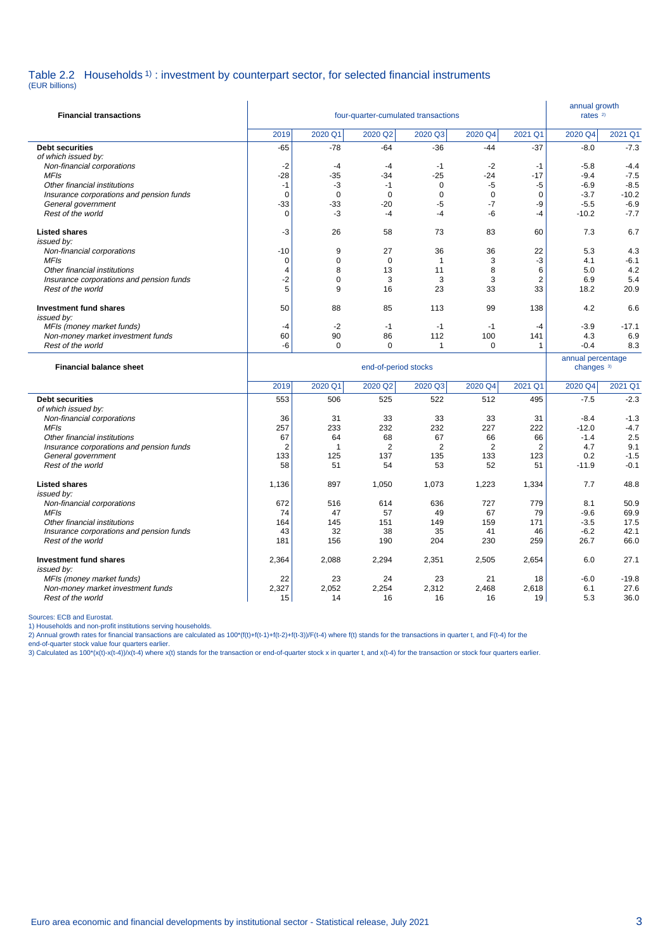### Table 2.2 Households <sup>1</sup>) : investment by counterpart sector, for selected financial instruments

(EUR billions)

| <b>Financial transactions</b>                                            |                        | annual growth<br>rates <sup>2)</sup> |                      |                  |                     |                     |                       |                   |
|--------------------------------------------------------------------------|------------------------|--------------------------------------|----------------------|------------------|---------------------|---------------------|-----------------------|-------------------|
|                                                                          | 2019                   | 2020 Q1                              | 2020 Q2              | 2020 Q3          | 2020 Q4             | 2021 Q1             | 2020 Q4               | 2021 Q1           |
| <b>Debt securities</b>                                                   | $-65$                  | $-78$                                | $-64$                | $-36$            | $-44$               | $-37$               | $-8.0$                | $-7.3$            |
| of which issued by:                                                      |                        |                                      |                      |                  |                     |                     |                       |                   |
| Non-financial corporations                                               | $-2$                   | $-4$                                 | -4                   | -1               | $-2$                | $-1$                | $-5.8$                | $-4.4$            |
| <b>MFIs</b>                                                              | $-28$                  | -35                                  | $-34$                | $-25$            | $-24$               | $-17$               | $-9.4$                | $-7.5$            |
| Other financial institutions<br>Insurance corporations and pension funds | $-1$<br>$\mathbf 0$    | -3<br>$\Omega$                       | $-1$<br>$\mathbf 0$  | 0<br>$\mathbf 0$ | $-5$<br>$\mathbf 0$ | -5<br>$\mathbf 0$   | $-6.9$<br>$-3.7$      | $-8.5$<br>$-10.2$ |
| General government                                                       | $-33$                  | -33                                  | $-20$                | $-5$             | $-7$                | -9                  | $-5.5$                | $-6.9$            |
| Rest of the world                                                        | $\mathbf 0$            | -3                                   | $-4$                 | $-4$             | -6                  | $-4$                | $-10.2$               | $-7.7$            |
| <b>Listed shares</b>                                                     | -3                     | 26                                   | 58                   | 73               | 83                  | 60                  | 7.3                   | 6.7               |
| issued by:                                                               |                        |                                      |                      |                  |                     |                     |                       |                   |
| Non-financial corporations                                               | $-10$                  | 9                                    | 27                   | 36               | 36                  | 22                  | 5.3                   | 4.3               |
| <b>MFIs</b>                                                              | 0                      | $\mathbf 0$                          | $\mathbf 0$          | $\mathbf{1}$     | 3                   | $-3$                | 4.1                   | $-6.1$            |
| Other financial institutions                                             | $\overline{4}$<br>$-2$ | 8<br>$\mathbf 0$                     | 13<br>3              | 11<br>3          | 8<br>3              | 6<br>$\overline{2}$ | 5.0<br>6.9            | 4.2<br>5.4        |
| Insurance corporations and pension funds<br>Rest of the world            | 5                      | 9                                    | 16                   | 23               | 33                  | 33                  | 18.2                  | 20.9              |
|                                                                          |                        |                                      |                      |                  |                     |                     |                       |                   |
| Investment fund shares<br>issued by:                                     | 50                     | 88                                   | 85                   | 113              | 99                  | 138                 | 4.2                   | 6.6               |
| MFIs (money market funds)                                                | $-4$                   | $-2$                                 | $-1$                 | $-1$             | $-1$                | $-4$                | $-3.9$                | $-17.1$           |
| Non-money market investment funds                                        | 60                     | 90                                   | 86                   | 112              | 100                 | 141                 | 4.3                   | 6.9               |
| Rest of the world                                                        | -6                     | $\mathbf 0$                          | $\mathbf 0$          | $\mathbf{1}$     | $\mathbf 0$         | $\mathbf{1}$        | $-0.4$                | 8.3               |
|                                                                          |                        |                                      |                      |                  |                     |                     | annual percentage     |                   |
| <b>Financial balance sheet</b>                                           |                        |                                      | end-of-period stocks |                  |                     |                     | changes <sup>3)</sup> |                   |
|                                                                          | 2019                   | 2020 Q1                              | 2020 Q2              | 2020 Q3          | 2020 Q4             | 2021 Q1             | 2020 Q4               | 2021 Q1           |
| <b>Debt securities</b>                                                   | 553                    | 506                                  | 525                  | 522              | 512                 | 495                 | $-7.5$                | $-2.3$            |
| of which issued by:                                                      |                        |                                      |                      |                  |                     |                     |                       |                   |
| Non-financial corporations                                               | 36                     | 31                                   | 33                   | 33               | 33                  | 31                  | $-8.4$                | $-1.3$            |
| <b>MFIs</b>                                                              | 257                    | 233                                  | 232                  | 232              | 227                 | 222                 | $-12.0$               | $-4.7$            |
| Other financial institutions                                             | 67                     | 64                                   | 68                   | 67               | 66                  | 66                  | $-1.4$                | 2.5               |
| Insurance corporations and pension funds                                 | $\overline{2}$         | $\overline{1}$                       | $\overline{2}$       | $\overline{2}$   | $\overline{2}$      | $\overline{2}$      | 4.7                   | 9.1               |
| General government<br>Rest of the world                                  | 133<br>58              | 125<br>51                            | 137<br>54            | 135<br>53        | 133<br>52           | 123<br>51           | 0.2<br>$-11.9$        | $-1.5$<br>$-0.1$  |
| <b>Listed shares</b>                                                     | 1,136                  | 897                                  | 1,050                | 1,073            | 1,223               | 1,334               | 7.7                   | 48.8              |
| issued by:                                                               |                        |                                      |                      |                  |                     |                     |                       |                   |
| Non-financial corporations                                               | 672                    | 516                                  | 614                  | 636              | 727                 | 779                 | 8.1                   | 50.9              |
| <b>MFIs</b><br>Other financial institutions                              | 74<br>164              | 47<br>145                            | 57<br>151            | 49<br>149        | 67<br>159           | 79<br>171           | $-9.6$<br>$-3.5$      | 69.9<br>17.5      |
| Insurance corporations and pension funds                                 | 43                     | 32                                   | 38                   | 35               | 41                  | 46                  | $-6.2$                | 42.1              |
| Rest of the world                                                        | 181                    | 156                                  | 190                  | 204              | 230                 | 259                 | 26.7                  | 66.0              |
| Investment fund shares                                                   | 2,364                  | 2,088                                | 2,294                | 2,351            | 2,505               | 2,654               | 6.0                   | 27.1              |
| issued by:<br>MFIs (money market funds)                                  | 22                     | 23                                   | 24                   | 23               | 21                  | 18                  | $-6.0$                | $-19.8$           |
| Non-money market investment funds                                        | 2,327                  | 2,052                                | 2,254                | 2,312            | 2,468               | 2,618               | 6.1                   | 27.6              |

Sources: ECB and Eurostat. 1) Households and non-profit institutions serving households.

2) Annual growth rates for financial transactions are calculated as 100\*(f(t)+f(t-1)+f(t-2)+f(t-3))/F(t-4) where f(t) stands for the transactions in quarter t, and F(t-4) for the<br>end-of-quarter stock value four quarters ea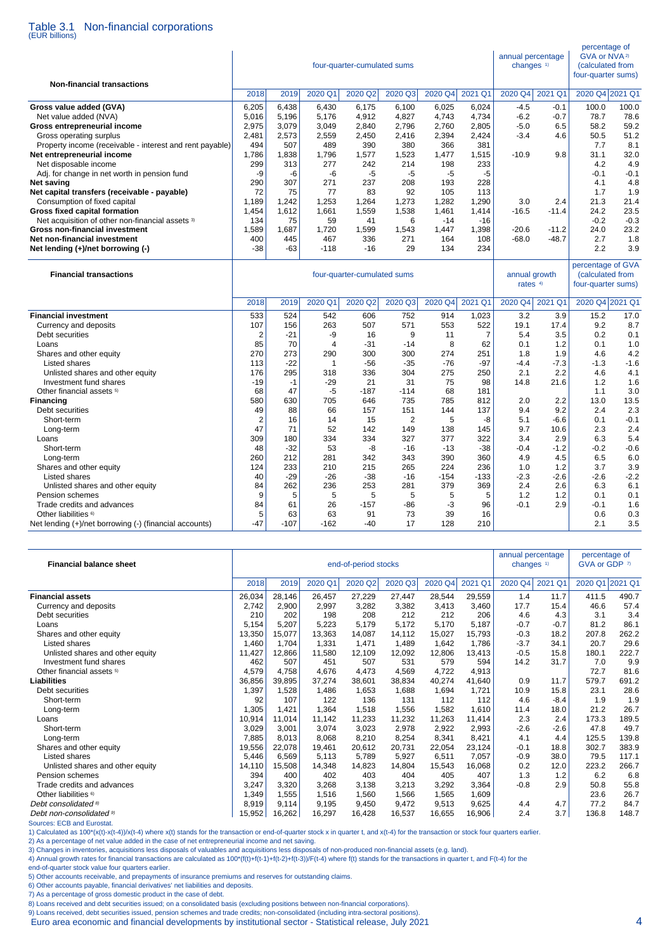# Table 3.1 Non-financial corporations (EUR billions)

| <b>Non-financial transactions</b>                                                 |                |                |                | four-quarter-cumulated sums |                |                |                | annual percentage<br>changes <sup>1)</sup> | percentage of<br>GVA or NVA <sup>2)</sup><br>(calculated from<br>four-quarter sums) |                                                             |             |
|-----------------------------------------------------------------------------------|----------------|----------------|----------------|-----------------------------|----------------|----------------|----------------|--------------------------------------------|-------------------------------------------------------------------------------------|-------------------------------------------------------------|-------------|
|                                                                                   | 2018           | 2019           | 2020 Q1        | 2020 Q2                     | 2020 Q3        | 2020 Q4        | 2021 Q1        | 2020 Q4                                    | 2021 Q1                                                                             | 2020 Q4 2021 Q1                                             |             |
| Gross value added (GVA)                                                           | 6,205          | 6,438          | 6,430          | 6,175                       | 6,100          | 6,025          | 6,024          | $-4.5$                                     | $-0.1$                                                                              | 100.0                                                       | 100.0       |
| Net value added (NVA)                                                             | 5,016          | 5.196          | 5.176          | 4,912                       | 4,827          | 4.743          | 4,734          | $-6.2$                                     | $-0.7$                                                                              | 78.7                                                        | 78.6        |
| Gross entrepreneurial income                                                      | 2,975          | 3,079          | 3,049          | 2,840                       | 2,796          | 2,760          | 2,805          | $-5.0$                                     | 6.5                                                                                 | 58.2                                                        | 59.2        |
| Gross operating surplus                                                           | 2,481          | 2,573          | 2,559          | 2,450                       | 2,416          | 2,394          | 2,424          | $-3.4$                                     | 4.6                                                                                 | 50.5                                                        | 51.2        |
| Property income (receivable - interest and rent payable)                          | 494            | 507            | 489            | 390                         | 380            | 366            | 381            |                                            |                                                                                     | 7.7                                                         | 8.1         |
| Net entrepreneurial income                                                        | 1,786          | 1,838          | 1,796          | 1,577                       | 1,523          | 1,477          | 1,515          | $-10.9$                                    | 9.8                                                                                 | 31.1                                                        | 32.0        |
| Net disposable income                                                             | 299            | 313            | 277            | 242                         | 214            | 198            | 233            |                                            |                                                                                     | 4.2                                                         | 4.9         |
| Adj. for change in net worth in pension fund                                      | -9             | -6             | -6             | $-5$                        | -5             | $-5$           | -5             |                                            |                                                                                     | $-0.1$                                                      | $-0.1$      |
| Net saving                                                                        | 290            | 307            | 271            | 237                         | 208            | 193            | 228            |                                            |                                                                                     | 4.1                                                         | 4.8         |
| Net capital transfers (receivable - payable)                                      | 72             | 75             | 77             | 83                          | 92             | 105            | 113            | 3.0                                        | 2.4                                                                                 | 1.7<br>21.3                                                 | 1.9<br>21.4 |
| Consumption of fixed capital                                                      | 1,189<br>1,454 | 1,242<br>1,612 | 1,253<br>1,661 | 1,264<br>1,559              | 1,273<br>1,538 | 1,282<br>1,461 | 1,290<br>1,414 | $-16.5$                                    | $-11.4$                                                                             | 24.2                                                        | 23.5        |
| Gross fixed capital formation<br>Net acquisition of other non-financial assets 3) | 134            | 75             | 59             | 41                          | 6              | $-14$          | $-16$          |                                            |                                                                                     | $-0.2$                                                      | $-0.3$      |
| <b>Gross non-financial investment</b>                                             | 1,589          | 1,687          | 1,720          | 1,599                       | 1,543          | 1,447          | 1,398          | $-20.6$                                    | $-11.2$                                                                             | 24.0                                                        | 23.2        |
| Net non-financial investment                                                      | 400            | 445            | 467            | 336                         | 271            | 164            | 108            | $-68.0$                                    | $-48.7$                                                                             | 2.7                                                         | 1.8         |
| Net lending (+)/net borrowing (-)                                                 | $-38$          | $-63$          | $-118$         | $-16$                       | 29             | 134            | 234            |                                            |                                                                                     | 2.2                                                         | 3.9         |
| <b>Financial transactions</b>                                                     |                |                |                | four-quarter-cumulated sums |                |                |                | annual growth<br>rates <sup>4)</sup>       |                                                                                     | percentage of GVA<br>(calculated from<br>four-quarter sums) |             |
|                                                                                   | 2018           | 2019           | 2020 Q1        | 2020 Q2                     | 2020 Q3        | 2020 Q4        | 2021 Q1        | 2020 Q4                                    | 2021 Q1                                                                             | 2020 Q4 2021 Q1                                             |             |
| <b>Financial investment</b>                                                       | 533            | 524            | 542            | 606                         | 752            | 914            | 1,023          | 3.2                                        | 3.9                                                                                 | 15.2                                                        | 17.0        |
| Currency and deposits                                                             | 107            | 156            | 263            | 507                         | 571            | 553            | 522            | 19.1                                       | 17.4                                                                                | 9.2                                                         | 8.7         |
| Debt securities                                                                   | $\overline{c}$ | $-21$          | -9             | 16                          | 9              | 11             | $\overline{7}$ | 5.4                                        | 3.5                                                                                 | 0.2                                                         | 0.1         |
| Loans                                                                             | 85             | 70             | $\overline{4}$ | $-31$                       | $-14$          | 8              | 62             | 0.1                                        | 1.2                                                                                 | 0.1                                                         | 1.0         |
| Shares and other equity                                                           | 270            | 273            | 290            | 300                         | 300            | 274            | 251            | 1.8                                        | 1.9                                                                                 | 4.6                                                         | 4.2         |
| Listed shares                                                                     | 113            | $-22$          | 1              | $-56$                       | $-35$          | $-76$          | $-97$          | $-4.4$                                     | $-7.3$                                                                              | $-1.3$                                                      | $-1.6$      |
| Unlisted shares and other equity                                                  | 176            | 295            | 318            | 336                         | 304            | 275            | 250            | 2.1                                        | 2.2                                                                                 | 4.6                                                         | 4.1         |
| Investment fund shares                                                            | $-19$          | $-1$           | $-29$          | 21                          | 31             | 75             | 98             | 14.8                                       | 21.6                                                                                | 1.2                                                         | 1.6         |
| Other financial assets 5)                                                         | 68             | 47             | -5             | $-187$                      | $-114$         | 68             | 181            |                                            |                                                                                     | 1.1                                                         | 3.0         |
| <b>Financing</b>                                                                  | 580<br>49      | 630            | 705<br>66      | 646                         | 735            | 785<br>144     | 812            | 2.0<br>9.4                                 | 2.2                                                                                 | 13.0<br>2.4                                                 | 13.5<br>2.3 |
| Debt securities<br>Short-term                                                     | 2              | 88<br>16       | 14             | 157<br>15                   | 151<br>2       | 5              | 137<br>-8      | 5.1                                        | 9.2<br>$-6.6$                                                                       | 0.1                                                         | $-0.1$      |
| Long-term                                                                         | 47             | 71             | 52             | 142                         | 149            | 138            | 145            | 9.7                                        | 10.6                                                                                | 2.3                                                         | 2.4         |
| Loans                                                                             | 309            | 180            | 334            | 334                         | 327            | 377            | 322            | 3.4                                        | 2.9                                                                                 | 6.3                                                         | 5.4         |
| Short-term                                                                        | 48             | $-32$          | 53             | -8                          | $-16$          | $-13$          | $-38$          | $-0.4$                                     | $-1.2$                                                                              | $-0.2$                                                      | $-0.6$      |
| Long-term                                                                         | 260            | 212            | 281            | 342                         | 343            | 390            | 360            | 4.9                                        | 4.5                                                                                 | 6.5                                                         | 6.0         |
| Shares and other equity                                                           | 124            | 233            | 210            | 215                         | 265            | 224            | 236            | 1.0                                        | 1.2                                                                                 | 3.7                                                         | 3.9         |
| Listed shares                                                                     | 40             | $-29$          | $-26$          | $-38$                       | $-16$          | $-154$         | -133           | $-2.3$                                     | $-2.6$                                                                              | $-2.6$                                                      | $-2.2$      |
| Unlisted shares and other equity                                                  | 84             | 262            | 236            | 253                         | 281            | 379            | 369            | 2.4                                        | 2.6                                                                                 | 6.3                                                         | 6.1         |
| Pension schemes                                                                   | 9              | 5              | 5              | 5                           | 5              | 5              | 5              | 1.2                                        | 1.2                                                                                 | 0.1                                                         | 0.1         |
| Trade credits and advances                                                        | 84             | 61             | 26             | $-157$                      | $-86$          | $-3$           | 96             | $-0.1$                                     | 2.9                                                                                 | $-0.1$                                                      | 1.6         |
| Other liabilities <sup>6)</sup>                                                   | 5              | 63             | 63             | 91                          | 73             | 39             | 16             |                                            |                                                                                     | 0.6                                                         | 0.3         |
| Net lending (+)/net borrowing (-) (financial accounts)                            | $-47$          | $-107$         | $-162$         | $-40$                       | 17             | 128            | 210            |                                            |                                                                                     | 2.1                                                         | 3.5         |

| <b>Financial balance sheet</b>       |        |        |         | end-of-period stocks |         | annual percentage<br>changes $1$ |         | percentage of<br>GVA or GDP 7) |         |         |         |
|--------------------------------------|--------|--------|---------|----------------------|---------|----------------------------------|---------|--------------------------------|---------|---------|---------|
|                                      | 2018   | 2019   | 2020 Q1 | 2020 Q2              | 2020 Q3 | 2020 Q4                          | 2021 Q1 | 2020 Q4                        | 2021 Q1 | 2020 Q1 | 2021 Q1 |
| <b>Financial assets</b>              | 26,034 | 28,146 | 26,457  | 27,229               | 27,447  | 28,544                           | 29,559  | 1.4                            | 11.7    | 411.5   | 490.7   |
| Currency and deposits                | 2,742  | 2,900  | 2,997   | 3,282                | 3,382   | 3,413                            | 3,460   | 17.7                           | 15.4    | 46.6    | 57.4    |
| Debt securities                      | 210    | 202    | 198     | 208                  | 212     | 212                              | 206     | 4.6                            | 4.3     | 3.1     | 3.4     |
| Loans                                | 5,154  | 5,207  | 5,223   | 5,179                | 5,172   | 5,170                            | 5,187   | $-0.7$                         | $-0.7$  | 81.2    | 86.1    |
| Shares and other equity              | 13,350 | 15,077 | 13,363  | 14,087               | 14,112  | 15,027                           | 15,793  | $-0.3$                         | 18.2    | 207.8   | 262.2   |
| Listed shares                        | 1,460  | 1.704  | 1,331   | 1,471                | 1,489   | 1,642                            | 1,786   | $-3.7$                         | 34.1    | 20.7    | 29.6    |
| Unlisted shares and other equity     | 11,427 | 12,866 | 11,580  | 12,109               | 12,092  | 12,806                           | 13,413  | $-0.5$                         | 15.8    | 180.1   | 222.7   |
| Investment fund shares               | 462    | 507    | 451     | 507                  | 531     | 579                              | 594     | 14.2                           | 31.7    | 7.0     | 9.9     |
| Other financial assets <sup>5)</sup> | 4,579  | 4,758  | 4,676   | 4,473                | 4,569   | 4,722                            | 4,913   |                                |         | 72.7    | 81.6    |
| Liabilities                          | 36,856 | 39,895 | 37,274  | 38,601               | 38,834  | 40,274                           | 41,640  | 0.9                            | 11.7    | 579.7   | 691.2   |
| Debt securities                      | 1,397  | 1,528  | 1,486   | 1,653                | 1,688   | 1,694                            | 1,721   | 10.9                           | 15.8    | 23.1    | 28.6    |
| Short-term                           | 92     | 107    | 122     | 136                  | 131     | 112                              | 112     | 4.6                            | $-8.4$  | 1.9     | 1.9     |
| Long-term                            | 1,305  | 1.421  | 1,364   | 1,518                | 1,556   | 1,582                            | 1.610   | 11.4                           | 18.0    | 21.2    | 26.7    |
| Loans                                | 10,914 | 11.014 | 11,142  | 11,233               | 11,232  | 11,263                           | 11,414  | 2.3                            | 2.4     | 173.3   | 189.5   |
| Short-term                           | 3,029  | 3,001  | 3,074   | 3,023                | 2,978   | 2,922                            | 2,993   | $-2.6$                         | $-2.6$  | 47.8    | 49.7    |
| Long-term                            | 7,885  | 8,013  | 8.068   | 8,210                | 8,254   | 8,341                            | 8,421   | 4.1                            | 4.4     | 125.5   | 139.8   |
| Shares and other equity              | 19,556 | 22,078 | 19.461  | 20.612               | 20.731  | 22,054                           | 23.124  | $-0.1$                         | 18.8    | 302.7   | 383.9   |
| Listed shares                        | 5,446  | 6,569  | 5,113   | 5,789                | 5,927   | 6,511                            | 7,057   | $-0.9$                         | 38.0    | 79.5    | 117.1   |
| Unlisted shares and other equity     | 14,110 | 15,508 | 14,348  | 14,823               | 14,804  | 15,543                           | 16,068  | 0.2                            | 12.0    | 223.2   | 266.7   |
| Pension schemes                      | 394    | 400    | 402     | 403                  | 404     | 405                              | 407     | 1.3                            | 1.2     | 6.2     | 6.8     |
| Trade credits and advances           | 3,247  | 3,320  | 3,268   | 3,138                | 3,213   | 3,292                            | 3,364   | $-0.8$                         | 2.9     | 50.8    | 55.8    |
| Other liabilities <sup>6)</sup>      | 1,349  | 1,555  | 1,516   | 1,560                | 1,566   | 1,565                            | 1,609   |                                |         | 23.6    | 26.7    |
| Debt consolidated 8)                 | 8,919  | 9,114  | 9,195   | 9,450                | 9,472   | 9,513                            | 9,625   | 4.4                            | 4.7     | 77.2    | 84.7    |
| Debt non-consolidated <sup>9)</sup>  | 15,952 | 16,262 | 16,297  | 16,428               | 16,537  | 16,655                           | 16,906  | 2.4                            | 3.7     | 136.8   | 148.7   |

l

Sources: ECB and Eurostat.<br>1) Calculated as 100\*(x(t)-x(t-4))/x(t-4) where x(t) stands for the transaction or end-of-quarter stock x in quarter t, and x(t-4) for the transaction or stock four quarters earlier.<br>2) As a perc

4) Annual growth rates for financial transactions are calculated as 100\*(f(t)+f(t-1)+f(t-2)+f(t-3))/F(t-4) where f(t) stands for the transactions in quarter t, and F(t-4) for the

end-of-quarter stock value four quarters earlier.

5) Other accounts receivable, and prepayments of insurance premiums and reserves for outstanding claims. 6) Other accounts payable, financial derivatives' net liabilities and deposits.

7) As a percentage of gross domestic product in the case of debt.

8) Loans received and debt securities issued; on a consolidated basis (excluding positions between non-financial corporations).

9) Loans received, debt securities issued, pension schemes and trade credits; non-consolidated (including intra-sectoral positions).

Euro area economic and financial developments by institutional sector - Statistical release, July 2021 4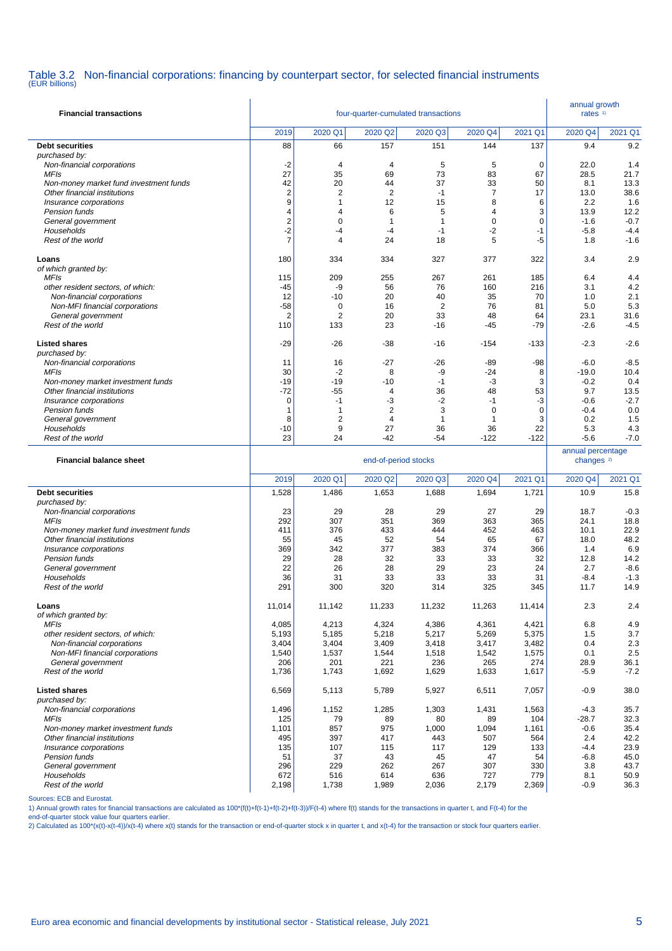# Table 3.2 Non-financial corporations: financing by counterpart sector, for selected financial instruments (EUR billions)

| <b>Financial transactions</b>                        |                       | annual growth<br>rates $1$     |                                  |                   |                  |              |                                            |                  |
|------------------------------------------------------|-----------------------|--------------------------------|----------------------------------|-------------------|------------------|--------------|--------------------------------------------|------------------|
|                                                      | 2019                  | 2020 Q1                        | 2020 Q <sub>2</sub>              | 2020 Q3           | 2020 Q4          | 2021 Q1      | 2020 Q4                                    | 2021 Q1          |
| <b>Debt securities</b>                               | 88                    | 66                             | 157                              | 151               | 144              | 137          | 9.4                                        | 9.2              |
| purchased by:                                        |                       | $\overline{4}$                 |                                  | 5                 | 5                |              | 22.0                                       | 1.4              |
| Non-financial corporations<br><b>MFIs</b>            | $-2$<br>27            | 35                             | $\overline{4}$<br>69             | 73                | 83               | 0<br>67      | 28.5                                       | 21.7             |
| Non-money market fund investment funds               | 42                    | 20                             | 44                               | 37                | 33               | 50           | 8.1                                        | 13.3             |
| Other financial institutions                         | $\boldsymbol{2}$      | 2                              | $\overline{2}$                   | $-1$              | 7                | 17           | 13.0                                       | 38.6             |
| Insurance corporations                               | 9                     | $\mathbf{1}$                   | 12                               | 15                | 8                | 6            | 2.2                                        | 1.6              |
| Pension funds                                        | 4                     | $\overline{4}$                 | 6                                | 5                 | 4                | 3            | 13.9                                       | 12.2             |
| General government<br>Households                     | 2<br>-2               | 0<br>$-4$                      | $\mathbf{1}$<br>$-4$             | 1<br>$-1$         | 0<br>-2          | 0<br>-1      | $-1.6$<br>$-5.8$                           | $-0.7$<br>$-4.4$ |
| Rest of the world                                    | $\overline{7}$        | $\overline{4}$                 | 24                               | 18                | 5                | $-5$         | 1.8                                        | $-1.6$           |
| Loans                                                | 180                   | 334                            | 334                              | 327               | 377              | 322          | 3.4                                        | 2.9              |
| of which granted by:                                 |                       |                                |                                  |                   |                  |              |                                            |                  |
| <b>MFIs</b>                                          | 115                   | 209                            | 255                              | 267               | 261              | 185          | 6.4                                        | 4.4              |
| other resident sectors, of which:                    | -45                   | -9                             | 56                               | 76                | 160              | 216          | 3.1                                        | 4.2              |
| Non-financial corporations                           | 12                    | $-10$                          | 20                               | 40                | 35               | 70           | 1.0                                        | 2.1              |
| Non-MFI financial corporations                       | $-58$                 | 0                              | 16                               | $\overline{2}$    | 76               | 81           | 5.0                                        | 5.3              |
| General government<br>Rest of the world              | $\overline{2}$<br>110 | 2<br>133                       | 20<br>23                         | 33<br>$-16$       | 48<br>$-45$      | 64<br>-79    | 23.1<br>$-2.6$                             | 31.6<br>$-4.5$   |
|                                                      |                       |                                |                                  |                   |                  |              |                                            |                  |
| <b>Listed shares</b><br>purchased by:                | -29                   | -26                            | $-38$                            | $-16$             | $-154$           | $-133$       | $-2.3$                                     | $-2.6$           |
| Non-financial corporations                           | 11                    | 16                             | $-27$                            | $-26$             | -89              | -98          | $-6.0$                                     | $-8.5$           |
| <b>MFIs</b>                                          | 30                    | $-2$                           | 8                                | -9                | $-24$            | 8            | $-19.0$                                    | 10.4             |
| Non-money market investment funds                    | $-19$                 | $-19$                          | $-10$                            | $-1$              | $-3$             | 3            | $-0.2$                                     | 0.4              |
| Other financial institutions                         | $-72$                 | -55                            | $\overline{4}$                   | 36                | 48               | 53           | 9.7                                        | 13.5             |
| Insurance corporations                               | $\mathbf 0$           | $-1$                           | -3                               | $-2$              | $-1$             | -3           | $-0.6$                                     | $-2.7$           |
| Pension funds<br>General government                  | 1<br>8                | $\mathbf{1}$<br>$\overline{c}$ | $\overline{2}$<br>$\overline{4}$ | 3<br>$\mathbf{1}$ | $\mathbf 0$<br>1 | 0<br>3       | $-0.4$<br>0.2                              | 0.0<br>1.5       |
| Households                                           | $-10$                 | 9                              | 27                               | 36                | 36               | 22           | 5.3                                        | 4.3              |
| Rest of the world                                    | 23                    | 24                             | $-42$                            | -54               | $-122$           | $-122$       | $-5.6$                                     | $-7.0$           |
|                                                      |                       |                                |                                  |                   |                  |              |                                            |                  |
| <b>Financial balance sheet</b>                       |                       |                                | end-of-period stocks             |                   |                  |              | annual percentage<br>changes <sup>2)</sup> |                  |
|                                                      | 2019                  | 2020 Q1                        |                                  |                   |                  | 2021 Q1      |                                            |                  |
| <b>Debt securities</b>                               | 1,528                 | 1,486                          | 2020 Q2<br>1,653                 | 2020 Q3<br>1,688  | 2020 Q4<br>1,694 | 1,721        | 2020 Q4<br>10.9                            | 2021 Q1<br>15.8  |
| purchased by:                                        |                       |                                |                                  |                   |                  |              |                                            |                  |
| Non-financial corporations                           | 23                    | 29                             | 28                               | 29                | 27               | 29           | 18.7                                       | $-0.3$           |
| <b>MFIs</b>                                          | 292                   | 307                            | 351                              | 369               | 363              | 365          | 24.1                                       | 18.8             |
| Non-money market fund investment funds               | 411                   | 376                            | 433                              | 444               | 452              | 463          | 10.1                                       | 22.9             |
| Other financial institutions                         | 55                    | 45                             | 52                               | 54                | 65               | 67           | 18.0                                       | 48.2             |
| Insurance corporations<br>Pension funds              | 369<br>29             | 342<br>28                      | 377<br>32                        | 383<br>33         | 374<br>33        | 366<br>32    | 1.4<br>12.8                                | 6.9<br>14.2      |
| General government                                   | 22                    | 26                             | 28                               | 29                | 23               | 24           | 2.7                                        | $-8.6$           |
| Households                                           | 36                    | 31                             | 33                               | 33                | 33               | 31           | $-8.4$                                     | $-1.3$           |
| Rest of the world                                    | 291                   | 300                            | 320                              | 314               | 325              | 345          | 11.7                                       | 14.9             |
| Loans                                                | 11,014                | 11,142                         | 11,233                           | 11,232            | 11,263           | 11,414       | 2.3                                        | 2.4              |
| of which granted by:                                 |                       |                                |                                  |                   |                  |              |                                            |                  |
| <b>MFIs</b>                                          | 4,085                 | 4,213                          | 4,324                            | 4,386             | 4,361            | 4,421        | 6.8                                        | 4.9              |
| other resident sectors, of which:                    | 5,193                 | 5,185                          | 5,218                            | 5,217             | 5,269            | 5,375        | 1.5                                        | 3.7              |
| Non-financial corporations                           | 3,404                 | 3,404                          | 3,409                            | 3,418             | 3,417            | 3,482        | 0.4                                        | 2.3              |
| Non-MFI financial corporations<br>General government | 1,540<br>206          | 1,537<br>201                   | 1,544<br>221                     | 1,518<br>236      | 1,542<br>265     | 1,575<br>274 | 0.1<br>28.9                                | 2.5<br>36.1      |
| Rest of the world                                    | 1,736                 | 1,743                          | 1,692                            | 1,629             | 1,633            | 1,617        | $-5.9$                                     | $-7.2$           |
| <b>Listed shares</b>                                 | 6,569                 | 5,113                          | 5,789                            | 5,927             | 6,511            | 7,057        | $-0.9$                                     | 38.0             |
| purchased by:<br>Non-financial corporations          | 1,496                 | 1,152                          | 1,285                            | 1,303             | 1,431            | 1,563        | $-4.3$                                     | 35.7             |
| MFIs                                                 | 125                   | 79                             | 89                               | 80                | 89               | 104          | $-28.7$                                    | 32.3             |
| Non-money market investment funds                    | 1,101                 | 857                            | 975                              | 1,000             | 1,094            | 1,161        | $-0.6$                                     | 35.4             |
| Other financial institutions                         | 495                   | 397                            | 417                              | 443               | 507              | 564          | 2.4                                        | 42.2             |
| Insurance corporations<br>Pension funds              | 135<br>51             | 107<br>37                      | 115<br>43                        | 117<br>45         | 129<br>47        | 133<br>54    | $-4.4$<br>$-6.8$                           | 23.9<br>45.0     |
| General government                                   | 296                   | 229                            | 262                              | 267               | 307              | 330          | 3.8                                        | 43.7             |
| Households<br>Rest of the world                      | 672<br>2,198          | 516<br>1,738                   | 614<br>1,989                     | 636<br>2,036      | 727<br>2,179     | 779<br>2,369 | 8.1<br>$-0.9$                              | 50.9<br>36.3     |

Sources: ECB and Eurostat.

1) Annual growth rates for financial transactions are calculated as 100\*(f(t)+f(t-1)+f(t-2)+f(t-3))/F(t-4) where f(t) stands for the transactions in quarter t, and F(t-4) for the

end-of-quarter stock value four quarters earlier.<br>2) Calculated as 100\*(x(t)-x(t-4))/x(t-4) where x(t) stands for the transaction or end-of-quarter stock x in quarter t, and x(t-4) for the transaction or stock four quarter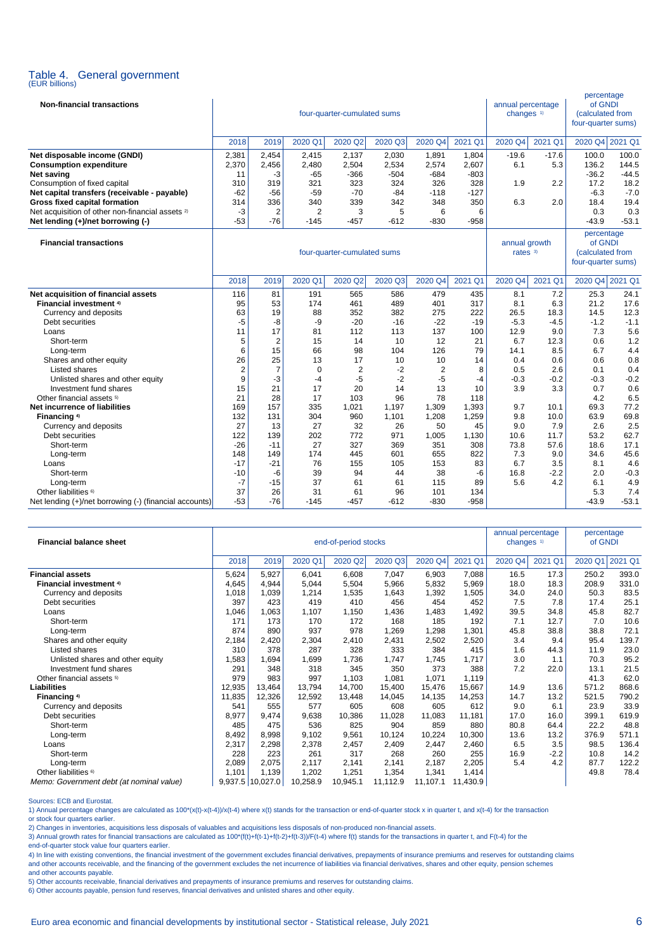# Table 4. General government (EUR billions)

| <b>Non-financial transactions</b>                           |                |                |                             | four-quarter-cumulated sums |         |                                                                 |         | annual percentage<br>changes <sup>1)</sup> |         | percentage<br>of GNDI<br>(calculated from<br>four-quarter sums) |         |
|-------------------------------------------------------------|----------------|----------------|-----------------------------|-----------------------------|---------|-----------------------------------------------------------------|---------|--------------------------------------------|---------|-----------------------------------------------------------------|---------|
|                                                             | 2018           | 2019           | 2020 Q1                     | 2020 Q2                     | 2020 Q3 | 2020 Q4                                                         | 2021 Q1 | 2020 Q4                                    | 2021 Q1 | 2020 Q4 2021 Q1                                                 |         |
| Net disposable income (GNDI)                                | 2,381          | 2,454          | 2,415                       | 2,137                       | 2,030   | 1,891                                                           | 1,804   | $-19.6$                                    | $-17.6$ | 100.0                                                           | 100.0   |
| <b>Consumption expenditure</b>                              | 2,370          | 2,456          | 2,480                       | 2,504                       | 2,534   | 2,574                                                           | 2,607   | 6.1                                        | 5.3     | 136.2                                                           | 144.5   |
| <b>Net saving</b>                                           | 11             | -3             | $-65$                       | $-366$                      | $-504$  | $-684$                                                          | $-803$  |                                            |         | $-36.2$                                                         | $-44.5$ |
| Consumption of fixed capital                                | 310            | 319            | 321                         | 323                         | 324     | 326                                                             | 328     | 1.9                                        | 2.2     | 17.2                                                            | 18.2    |
| Net capital transfers (receivable - payable)                | $-62$          | $-56$          | $-59$                       | $-70$                       | $-84$   | $-118$                                                          | $-127$  |                                            |         | $-6.3$                                                          | $-7.0$  |
| <b>Gross fixed capital formation</b>                        | 314            | 336            | 340                         | 339                         | 342     | 348                                                             | 350     | 6.3                                        | 2.0     | 18.4                                                            | 19.4    |
| Net acquisition of other non-financial assets <sup>2)</sup> | $-3$           | $\overline{2}$ | $\overline{2}$              | 3                           | 5       | 6                                                               | 6       |                                            |         | 0.3                                                             | 0.3     |
| Net lending (+)/net borrowing (-)                           | $-53$          | $-76$          | $-145$                      | $-457$                      | -612    | $-830$                                                          | $-958$  |                                            |         | $-43.9$                                                         | $-53.1$ |
| <b>Financial transactions</b>                               |                |                | four-quarter-cumulated sums | annual growth<br>rates $3)$ |         | percentage<br>of GNDI<br>(calculated from<br>four-quarter sums) |         |                                            |         |                                                                 |         |
|                                                             | 2018           | 2019           | 2020 Q1                     | 2020 Q2                     | 2020 Q3 | 2020 Q4                                                         | 2021 Q1 | 2020 Q4                                    | 2021 Q1 | 2020 Q4 2021 Q1                                                 |         |
| Net acquisition of financial assets                         | 116            | 81             | 191                         | 565                         | 586     | 479                                                             | 435     | 8.1                                        | 7.2     | 25.3                                                            | 24.1    |
| <b>Financial investment 4)</b>                              | 95             | 53             | 174                         | 461                         | 489     | 401                                                             | 317     | 8.1                                        | 6.3     | 21.2                                                            | 17.6    |
| Currency and deposits                                       | 63             | 19             | 88                          | 352                         | 382     | 275                                                             | 222     | 26.5                                       | 18.3    | 14.5                                                            | 12.3    |
| Debt securities                                             | -5             | -8             | -9                          | $-20$                       | $-16$   | $-22$                                                           | $-19$   | $-5.3$                                     | $-4.5$  | $-1.2$                                                          | $-1.1$  |
| Loans                                                       | 11             | 17             | 81                          | 112                         | 113     | 137                                                             | 100     | 12.9                                       | 9.0     | 7.3                                                             | 5.6     |
| Short-term                                                  | 5              | $\overline{2}$ | 15                          | 14                          | 10      | 12                                                              | 21      | 6.7                                        | 12.3    | 0.6                                                             | 1.2     |
| Long-term                                                   | 6              | 15             | 66                          | 98                          | 104     | 126                                                             | 79      | 14.1                                       | 8.5     | 6.7                                                             | 4.4     |
| Shares and other equity                                     | 26             | 25             | 13                          | 17                          | 10      | 10                                                              | 14      | 0.4                                        | 0.6     | 0.6                                                             | 0.8     |
| Listed shares                                               | $\overline{2}$ | $\overline{7}$ | $\Omega$                    | $\overline{2}$              | $-2$    | 2                                                               | 8       | 0.5                                        | 2.6     | 0.1                                                             | 0.4     |
| Unlisted shares and other equity                            | 9              | -3             | $-4$                        | $-5$                        | $-2$    | $-5$                                                            | $-4$    | $-0.3$                                     | $-0.2$  | $-0.3$                                                          | $-0.2$  |
| Investment fund shares                                      | 15             | 21             | 17                          | 20                          | 14      | 13                                                              | 10      | 3.9                                        | 3.3     | 0.7                                                             | 0.6     |
| Other financial assets 5)                                   | 21             | 28             | 17                          | 103                         | 96      | 78                                                              | 118     |                                            |         | 4.2                                                             | 6.5     |
| Net incurrence of liabilities                               | 169            | 157            | 335                         | 1,021                       | 1,197   | 1,309                                                           | 1,393   | 9.7                                        | 10.1    | 69.3                                                            | 77.2    |
| Financing <sup>4)</sup>                                     | 132            | 131            | 304                         | 960                         | 1,101   | 1,208                                                           | 1,259   | 9.8                                        | 10.0    | 63.9                                                            | 69.8    |
| Currency and deposits                                       | 27             | 13             | 27                          | 32                          | 26      | 50                                                              | 45      | 9.0                                        | 7.9     | 2.6                                                             | 2.5     |
| Debt securities                                             | 122            | 139            | 202                         | 772                         | 971     | 1,005                                                           | 1,130   | 10.6                                       | 11.7    | 53.2                                                            | 62.7    |
| Short-term                                                  | $-26$          | $-11$          | 27                          | 327                         | 369     | 351                                                             | 308     | 73.8                                       | 57.6    | 18.6                                                            | 17.1    |
| Long-term                                                   | 148            | 149            | 174                         | 445                         | 601     | 655                                                             | 822     | 7.3                                        | 9.0     | 34.6                                                            | 45.6    |
| Loans                                                       | $-17$          | $-21$          | 76                          | 155                         | 105     | 153                                                             | 83      | 6.7                                        | 3.5     | 8.1                                                             | 4.6     |
| Short-term                                                  | $-10$          | -6             | 39                          | 94                          | 44      | 38                                                              | -6      | 16.8                                       | $-2.2$  | 2.0                                                             | $-0.3$  |
| Long-term                                                   | $-7$           | $-15$          | 37                          | 61                          | 61      | 115                                                             | 89      | 5.6                                        | 4.2     | 6.1                                                             | 4.9     |
| Other liabilities <sup>6)</sup>                             | 37             | 26             | 31                          | 61                          | 96      | 101                                                             | 134     |                                            |         | 5.3                                                             | 7.4     |
| Net lending (+)/net borrowing (-) (financial accounts)      | $-53$          | $-76$          | $-145$                      | $-457$                      | $-612$  | $-830$                                                          | $-958$  |                                            |         | $-43.9$                                                         | $-53.1$ |

| <b>Financial balance sheet</b>           |        | end-of-period stocks                                        |          |          |          |          |          |      | annual percentage<br>changes <sup>1)</sup> | percentage<br>of GNDI |         |
|------------------------------------------|--------|-------------------------------------------------------------|----------|----------|----------|----------|----------|------|--------------------------------------------|-----------------------|---------|
|                                          | 2018   | 2021 Q1<br>2020 Q1<br>2020 Q2<br>2020 Q3<br>2020 Q4<br>2019 |          |          |          |          |          |      | 2021 Q1                                    | 2020 Q1               | 2021 Q1 |
| <b>Financial assets</b>                  | 5,624  | 5,927                                                       | 6,041    | 6,608    | 7,047    | 6,903    | 7,088    | 16.5 | 17.3                                       | 250.2                 | 393.0   |
| Financial investment <sup>4)</sup>       | 4,645  | 4,944                                                       | 5,044    | 5,504    | 5,966    | 5,832    | 5,969    | 18.0 | 18.3                                       | 208.9                 | 331.0   |
| Currency and deposits                    | 1,018  | 1,039                                                       | 1,214    | 1,535    | 1,643    | 1,392    | 1,505    | 34.0 | 24.0                                       | 50.3                  | 83.5    |
| Debt securities                          | 397    | 423                                                         | 419      | 410      | 456      | 454      | 452      | 7.5  | 7.8                                        | 17.4                  | 25.1    |
| Loans                                    | 0.046  | 1,063                                                       | 1,107    | 1,150    | 1,436    | 1,483    | 1,492    | 39.5 | 34.8                                       | 45.8                  | 82.7    |
| Short-term                               | 171    | 173                                                         | 170      | 172      | 168      | 185      | 192      | 7.1  | 12.7                                       | 7.0                   | 10.6    |
| Long-term                                | 874    | 890                                                         | 937      | 978      | 1,269    | 1,298    | 1,301    | 45.8 | 38.8                                       | 38.8                  | 72.1    |
| Shares and other equity                  | 2,184  | 2,420                                                       | 2,304    | 2,410    | 2,431    | 2,502    | 2,520    | 3.4  | 9.4                                        | 95.4                  | 139.7   |
| Listed shares                            | 310    | 378                                                         | 287      | 328      | 333      | 384      | 415      | 1.6  | 44.3                                       | 11.9                  | 23.0    |
| Unlisted shares and other equity         | ,583   | 1,694                                                       | 1,699    | 1,736    | 1,747    | 1,745    | 1,717    | 3.0  | 1.1                                        | 70.3                  | 95.2    |
| Investment fund shares                   | 291    | 348                                                         | 318      | 345      | 350      | 373      | 388      | 7.2  | 22.0                                       | 13.1                  | 21.5    |
| Other financial assets 5)                | 979    | 983                                                         | 997      | 1,103    | 1,081    | 1.071    | 1,119    |      |                                            | 41.3                  | 62.0    |
| <b>Liabilities</b>                       | 12,935 | 13,464                                                      | 13,794   | 14,700   | 15,400   | 15,476   | 15,667   | 14.9 | 13.6                                       | 571.2                 | 868.6   |
| Financing 4)                             | 11,835 | 12,326                                                      | 12,592   | 13,448   | 14,045   | 14,135   | 14,253   | 14.7 | 13.2                                       | 521.5                 | 790.2   |
| Currency and deposits                    | 541    | 555                                                         | 577      | 605      | 608      | 605      | 612      | 9.0  | 6.1                                        | 23.9                  | 33.9    |
| Debt securities                          | 8,977  | 9,474                                                       | 9,638    | 10,386   | 11,028   | 11,083   | 11,181   | 17.0 | 16.0                                       | 399.1                 | 619.9   |
| Short-term                               | 485    | 475                                                         | 536      | 825      | 904      | 859      | 880      | 80.8 | 64.4                                       | 22.2                  | 48.8    |
| Long-term                                | 8,492  | 8,998                                                       | 9,102    | 9,561    | 10,124   | 10,224   | 10,300   | 13.6 | 13.2                                       | 376.9                 | 571.1   |
| Loans                                    | 2,317  | 2,298                                                       | 2,378    | 2,457    | 2,409    | 2,447    | 2,460    | 6.5  | 3.5                                        | 98.5                  | 136.4   |
| Short-term                               | 228    | 223                                                         | 261      | 317      | 268      | 260      | 255      | 16.9 | $-2.2$                                     | 10.8                  | 14.2    |
| Long-term                                | 2,089  | 2,075                                                       | 2,117    | 2,141    | 2,141    | 2,187    | 2,205    | 5.4  | 4.2                                        | 87.7                  | 122.2   |
| Other liabilities <sup>6)</sup>          | 1,101  | 1,139                                                       | 1,202    | 1,251    | 1,354    | 1,341    | 1,414    |      |                                            | 49.8                  | 78.4    |
| Memo: Government debt (at nominal value) |        | $9,937.5$ 10,027.0                                          | 10,258.9 | 10,945.1 | 11,112.9 | 11,107.1 | 11,430.9 |      |                                            |                       |         |

Sources: ECB and Eurostat.

1) Annual percentage changes are calculated as 100\*(x(t)-x(t-4))/x(t-4) where x(t) stands for the transaction or end-of-quarter stock x in quarter t, and x(t-4) for the transaction 1) Annual percentage changes are calculat

or stock four quarters earlier.

2) Changes in inventories, acquisitions less disposals of valuables and acquisitions less disposals of non-produced non-financial assets.

3) Annual growth rates for financial transactions are calculated as 100\*(f(t)+f(t-1)+f(t-2)+f(t-3)/F(t-4) where f(t) stands for the transactions in quarter t, and F(t-4) for the

end-of-quarter stock value four quarters earlier.

4) In line with existing conventions, the financial investment of the government excludes financial derivatives, prepayments of insurance premiums and reserves for outstanding claims and other accounts receivable, and the financing of the government excludes the net incurrence of liabilities via financial derivatives, shares and other equity, pension schemes and other accounts payable.

5) Other accounts receivable, financial derivatives and prepayments of insurance premiums and reserves for outstanding claims.

6) Other accounts payable, pension fund reserves, financial derivatives and unlisted shares and other equity.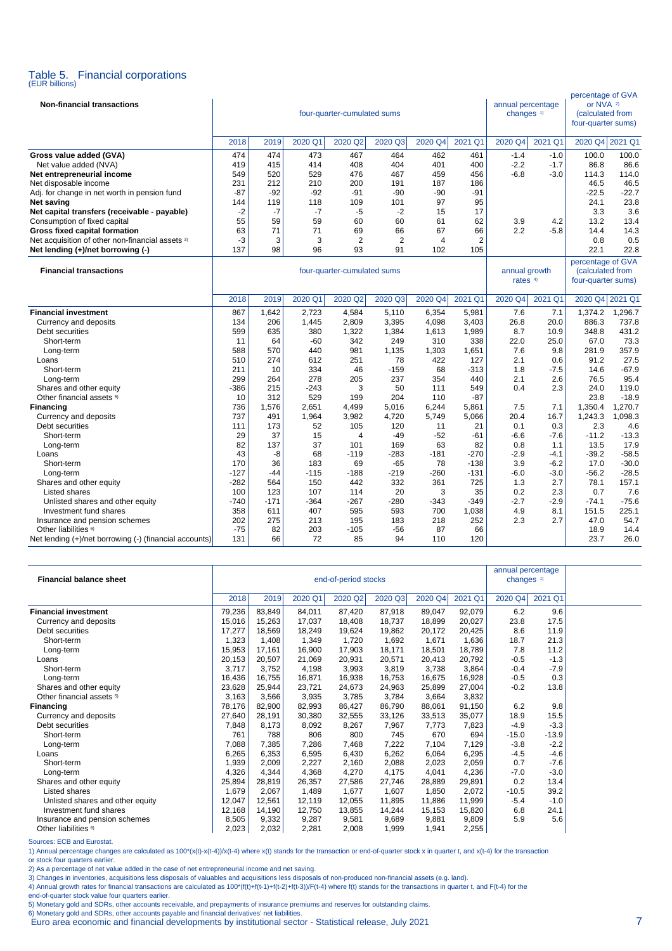# Table 5. Financial corporations (EUR billions)

| <b>Non-financial transactions</b>                             |             |               |               | four-quarter-cumulated sums |              |                |               | annual percentage<br>changes <sup>1)</sup> | percentage of GVA<br>or NVA <sup>2)</sup><br>(calculated from<br>four-quarter sums) |                                                             |                 |
|---------------------------------------------------------------|-------------|---------------|---------------|-----------------------------|--------------|----------------|---------------|--------------------------------------------|-------------------------------------------------------------------------------------|-------------------------------------------------------------|-----------------|
|                                                               | 2018        | 2019          | 2020 Q1       | 2020 Q2                     | 2020 Q3      | 2020 Q4        | 2021 Q1       | 2020 Q4                                    | 2021 Q1                                                                             | 2020 Q4 2021 Q1                                             |                 |
| Gross value added (GVA)                                       | 474         | 474           | 473           | 467                         | 464          | 462            | 461           | $-1.4$                                     | $-1.0$                                                                              | 100.0                                                       | 100.0           |
| Net value added (NVA)                                         | 419         | 415           | 414           | 408                         | 404          | 401            | 400           | $-2.2$                                     | $-1.7$                                                                              | 86.8                                                        | 86.6            |
| Net entrepreneurial income                                    | 549         | 520           | 529           | 476                         | 467          | 459            | 456           | $-6.8$                                     | $-3.0$                                                                              | 114.3                                                       | 114.0           |
| Net disposable income                                         | 231         | 212           | 210           | 200                         | 191          | 187            | 186           |                                            |                                                                                     | 46.5                                                        | 46.5            |
| Adj. for change in net worth in pension fund                  | $-87$       | $-92$         | $-92$         | $-91$                       | $-90$        | $-90$          | -91           |                                            |                                                                                     | $-22.5$                                                     | $-22.7$         |
| Net saving                                                    | 144         | 119           | 118           | 109                         | 101          | 97             | 95            |                                            |                                                                                     | 24.1                                                        | 23.8            |
| Net capital transfers (receivable - payable)                  | $-2$<br>55  | $-7$          | $-7$<br>59    | $-5$<br>60                  | $-2$<br>60   | 15<br>61       | 17<br>62      |                                            | 4.2                                                                                 | 3.3<br>13.2                                                 | 3.6<br>13.4     |
| Consumption of fixed capital<br>Gross fixed capital formation | 63          | 59<br>71      | 71            | 69                          | 66           | 67             | 66            | 3.9<br>2.2                                 | $-5.8$                                                                              | 14.4                                                        | 14.3            |
| Net acquisition of other non-financial assets 3)              | -3          | 3             | 3             | 2                           | 2            | $\overline{4}$ | 2             |                                            |                                                                                     | 0.8                                                         | 0.5             |
| Net lending (+)/net borrowing (-)                             | 137         | 98            | 96            | 93                          | 91           | 102            | 105           |                                            |                                                                                     | 22.1                                                        | 22.8            |
| <b>Financial transactions</b>                                 |             |               |               | four-quarter-cumulated sums |              |                |               | annual growth<br>rates 4)                  |                                                                                     | percentage of GVA<br>(calculated from<br>four-quarter sums) |                 |
|                                                               | 2018        | 2019          | 2020 Q1       | 2020 Q2                     | 2020 Q3      | 2020 Q4        | 2021 Q1       | 2020 Q4                                    | 2021 Q1                                                                             | 2020 Q4                                                     | 2021 Q1         |
| <b>Financial investment</b>                                   | 867         | 1,642         | 2,723         | 4,584                       | 5,110        | 6,354          | 5,981         | 7.6                                        | 7.1                                                                                 | 1,374.2                                                     | 1,296.7         |
| Currency and deposits                                         | 134         | 206           | 1,445         | 2,809                       | 3,395        | 4,098          | 3,403         | 26.8                                       | 20.0                                                                                | 886.3                                                       | 737.8           |
| Debt securities                                               | 599         | 635           | 380           | 1,322                       | 1,384        | 1,613          | 1,989         | 8.7                                        | 10.9                                                                                | 348.8                                                       | 431.2           |
| Short-term                                                    | 11          | 64            | $-60$         | 342                         | 249          | 310            | 338           | 22.0                                       | 25.0                                                                                | 67.0                                                        | 73.3            |
| Long-term                                                     | 588         | 570           | 440           | 981                         | 1.135        | 1,303          | 1,651         | 7.6                                        | 9.8                                                                                 | 281.9                                                       | 357.9           |
| Loans<br>Short-term                                           | 510<br>211  | 274<br>10     | 612<br>334    | 251<br>46                   | 78<br>$-159$ | 422<br>68      | 127<br>$-313$ | 2.1<br>1.8                                 | 0.6<br>$-7.5$                                                                       | 91.2<br>14.6                                                | 27.5<br>$-67.9$ |
| Long-term                                                     | 299         | 264           | 278           | 205                         | 237          | 354            | 440           | 2.1                                        | 2.6                                                                                 | 76.5                                                        | 95.4            |
| Shares and other equity                                       | -386        | 215           | $-243$        | 3                           | 50           | 111            | 549           | 0.4                                        | 2.3                                                                                 | 24.0                                                        | 119.0           |
| Other financial assets <sup>5)</sup>                          | 10          | 312           | 529           | 199                         | 204          | 110            | $-87$         |                                            |                                                                                     | 23.8                                                        | $-18.9$         |
| <b>Financing</b>                                              | 736         | 1,576         | 2,651         | 4,499                       | 5,016        | 6,244          | 5,861         | 7.5                                        | 7.1                                                                                 | 1,350.4                                                     | 1.270.7         |
| Currency and deposits                                         | 737         | 491           | 1,964         | 3,982                       | 4,720        | 5,749          | 5,066         | 20.4                                       | 16.7                                                                                | 1,243.3                                                     | 1,098.3         |
| Debt securities                                               | 111         | 173           | 52            | 105                         | 120          | 11             | 21            | 0.1                                        | 0.3                                                                                 | 2.3                                                         | 4.6             |
| Short-term                                                    | 29          | 37            | 15            | 4                           | $-49$        | $-52$          | $-61$         | $-6.6$                                     | $-7.6$                                                                              | $-11.2$                                                     | $-13.3$         |
| Long-term                                                     | 82          | 137           | 37            | 101                         | 169          | 63             | 82            | 0.8                                        | 1.1                                                                                 | 13.5                                                        | 17.9            |
| Loans                                                         | 43          | -8            | 68            | $-119$                      | $-283$       | $-181$         | $-270$        | $-2.9$                                     | $-4.1$                                                                              | $-39.2$                                                     | $-58.5$         |
| Short-term                                                    | 170         | 36            | 183           | 69                          | $-65$        | 78             | $-138$        | 3.9                                        | $-6.2$                                                                              | 17.0                                                        | $-30.0$         |
| Long-term                                                     | $-127$      | $-44$         | $-115$        | $-188$                      | $-219$       | $-260$         | $-131$        | $-6.0$                                     | $-3.0$                                                                              | $-56.2$                                                     | $-28.5$         |
| Shares and other equity                                       | $-282$      | 564           | 150           | 442                         | 332          | 361            | 725           | 1.3                                        | 2.7                                                                                 | 78.1                                                        | 157.1           |
| Listed shares                                                 | 100<br>-740 | 123<br>$-171$ | 107<br>$-364$ | 114<br>$-267$               | 20<br>$-280$ | 3<br>-343      | 35<br>$-349$  | 0.2<br>$-2.7$                              | 2.3<br>$-2.9$                                                                       | 0.7<br>$-74.1$                                              | 7.6<br>$-75.6$  |
| Unlisted shares and other equity<br>Investment fund shares    | 358         | 611           | 407           | 595                         | 593          | 700            | 1,038         | 4.9                                        | 8.1                                                                                 | 151.5                                                       | 225.1           |
| Insurance and pension schemes                                 | 202         | 275           | 213           | 195                         | 183          | 218            | 252           | 2.3                                        | 2.7                                                                                 | 47.0                                                        | 54.7            |
| Other liabilities <sup>6)</sup>                               | $-75$       | 82            | 203           | $-105$                      | $-56$        | 87             | 66            |                                            |                                                                                     | 18.9                                                        | 14.4            |
| Net lending (+)/net borrowing (-) (financial accounts)        | 131         | 66            | 72            | 85                          | 94           | 110            | 120           |                                            |                                                                                     | 23.7                                                        | 26.0            |

| <b>Financial balance sheet</b>       |        | end-of-period stocks |         |         |         |         |         |         | annual percentage<br>changes <sup>1)</sup> |  |
|--------------------------------------|--------|----------------------|---------|---------|---------|---------|---------|---------|--------------------------------------------|--|
|                                      | 2018   | 2019                 | 2020 Q1 | 2020 Q2 | 2020 Q3 | 2020 Q4 | 2021 Q1 | 2020 Q4 | 2021 Q1                                    |  |
| <b>Financial investment</b>          | 79,236 | 83,849               | 84,011  | 87,420  | 87,918  | 89,047  | 92,079  | 6.2     | 9.6                                        |  |
| Currency and deposits                | 15,016 | 15,263               | 17,037  | 18,408  | 18,737  | 18,899  | 20,027  | 23.8    | 17.5                                       |  |
| Debt securities                      | 17,277 | 18,569               | 18,249  | 19,624  | 19,862  | 20,172  | 20,425  | 8.6     | 11.9                                       |  |
| Short-term                           | 1,323  | 1.408                | 1,349   | 1.720   | 1,692   | 1,671   | 1,636   | 18.7    | 21.3                                       |  |
| Long-term                            | 15,953 | 17,161               | 16,900  | 17,903  | 18,171  | 18,501  | 18,789  | 7.8     | 11.2                                       |  |
| Loans                                | 20,153 | 20,507               | 21,069  | 20,931  | 20,571  | 20,413  | 20,792  | $-0.5$  | $-1.3$                                     |  |
| Short-term                           | 3,717  | 3.752                | 4.198   | 3,993   | 3,819   | 3,738   | 3.864   | $-0.4$  | $-7.9$                                     |  |
| Long-term                            | 16,436 | 16,755               | 16,871  | 16,938  | 16,753  | 16,675  | 16,928  | $-0.5$  | 0.3                                        |  |
| Shares and other equity              | 23,628 | 25,944               | 23,721  | 24,673  | 24,963  | 25,899  | 27,004  | $-0.2$  | 13.8                                       |  |
| Other financial assets <sup>5)</sup> | 3,163  | 3,566                | 3,935   | 3,785   | 3,784   | 3,664   | 3,832   |         |                                            |  |
| <b>Financing</b>                     | 78,176 | 82,900               | 82,993  | 86,427  | 86,790  | 88,061  | 91,150  | 6.2     | 9.8                                        |  |
| Currency and deposits                | 27,640 | 28.191               | 30,380  | 32,555  | 33,126  | 33,513  | 35,077  | 18.9    | 15.5                                       |  |
| Debt securities                      | 7,848  | 8,173                | 8,092   | 8,267   | 7,967   | 7.773   | 7,823   | $-4.9$  | $-3.3$                                     |  |
| Short-term                           | 761    | 788                  | 806     | 800     | 745     | 670     | 694     | $-15.0$ | $-13.9$                                    |  |
| Long-term                            | 7,088  | 7.385                | 7.286   | 7.468   | 7.222   | 7.104   | 7,129   | $-3.8$  | $-2.2$                                     |  |
| Loans                                | 6,265  | 6,353                | 6,595   | 6,430   | 6,262   | 6,064   | 6,295   | $-4.5$  | $-4.6$                                     |  |
| Short-term                           | 1,939  | 2,009                | 2,227   | 2,160   | 2,088   | 2,023   | 2,059   | 0.7     | $-7.6$                                     |  |
| Long-term                            | 4,326  | 4,344                | 4.368   | 4,270   | 4,175   | 4,041   | 4,236   | $-7.0$  | $-3.0$                                     |  |
| Shares and other equity              | 25,894 | 28,819               | 26,357  | 27,586  | 27,746  | 28,889  | 29,891  | 0.2     | 13.4                                       |  |
| Listed shares                        | 1,679  | 2,067                | 1,489   | 1,677   | 1,607   | 1,850   | 2,072   | $-10.5$ | 39.2                                       |  |
| Unlisted shares and other equity     | 12,047 | 12,561               | 12.119  | 12,055  | 11.895  | 11.886  | 11,999  | $-5.4$  | $-1.0$                                     |  |
| Investment fund shares               | 12,168 | 14,190               | 12,750  | 13,855  | 14,244  | 15,153  | 15,820  | 6.8     | 24.1                                       |  |
| Insurance and pension schemes        | 8,505  | 9,332                | 9,287   | 9,581   | 9,689   | 9,881   | 9,809   | 5.9     | 5.6                                        |  |
| Other liabilities <sup>6)</sup>      | 2,023  | 2,032                | 2,281   | 2,008   | 1.999   | 1,941   | 2,255   |         |                                            |  |

Sources: ECB and Eurostat.

1) Annual percentage changes are calculated as 100\*(x(t)-x(t-4))/x(t-4) where x(t) stands for the transaction or end-of-quarter stock x in quarter t, and x(t-4) for the transaction or stock four quarters earlier.

2) As a percentage of net value added in the case of net entrepreneurial income and net saving.<br>3) Changes in inventories, acquisitions less disposals of valuables and acquisitions less disposals of non-produced non-financ

end-of-quarter stock value four quarters earlier.<br>5) Monetary gold and SDRs, other accounts receivable, and prepayments of insurance premiums and reserves for outstanding claims.<br>6) Monetary gold and SDRs, other accounts p

Euro area economic and financial developments by institutional sector - Statistical release, July 2021 7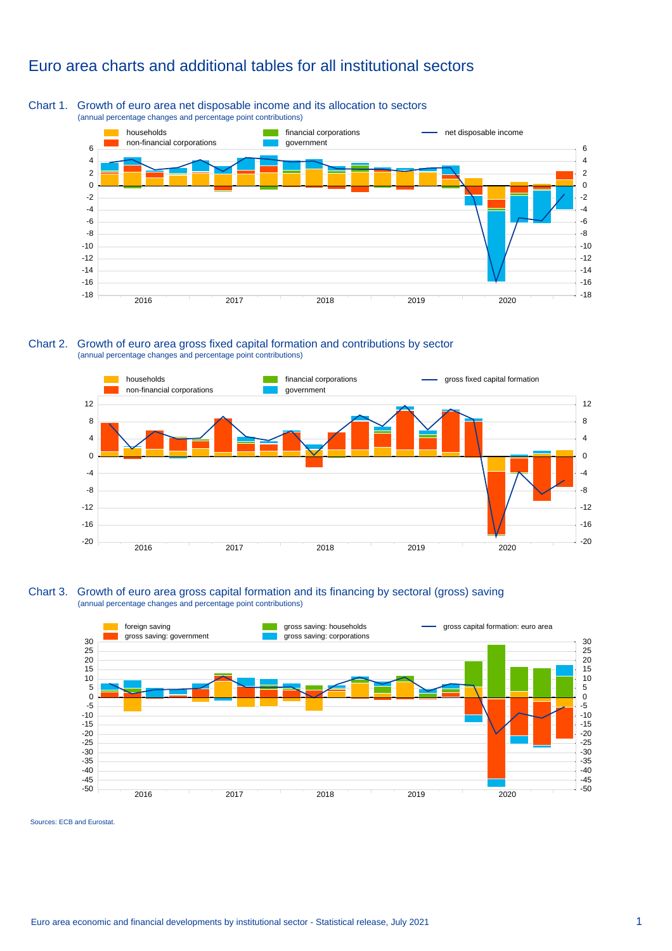### Euro area charts and additional tables for all institutional sectors

#### Chart 1. Growth of euro area net disposable income and its allocation to sectors (annual percentage changes and percentage point contributions)



Chart 2. Growth of euro area gross fixed capital formation and contributions by sector (annual percentage changes and percentage point contributions)



#### Chart 3. Growth of euro area gross capital formation and its financing by sectoral (gross) saving (annual percentage changes and percentage point contributions)



Sources: ECB and Eurostat.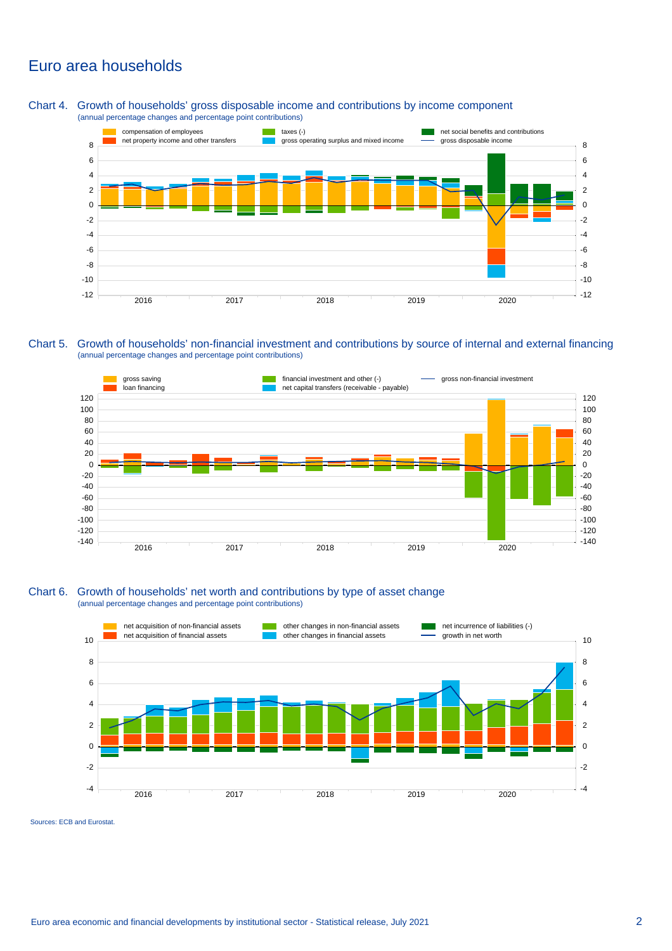### Euro area households

Chart 4. Growth of households' gross disposable income and contributions by income component (annual percentage changes and percentage point contributions)



Chart 5. Growth of households' non-financial investment and contributions by source of internal and external financing (annual percentage changes and percentage point contributions)



#### Chart 6. Growth of households' net worth and contributions by type of asset change (annual percentage changes and percentage point contributions)



Sources: ECB and Eurostat.